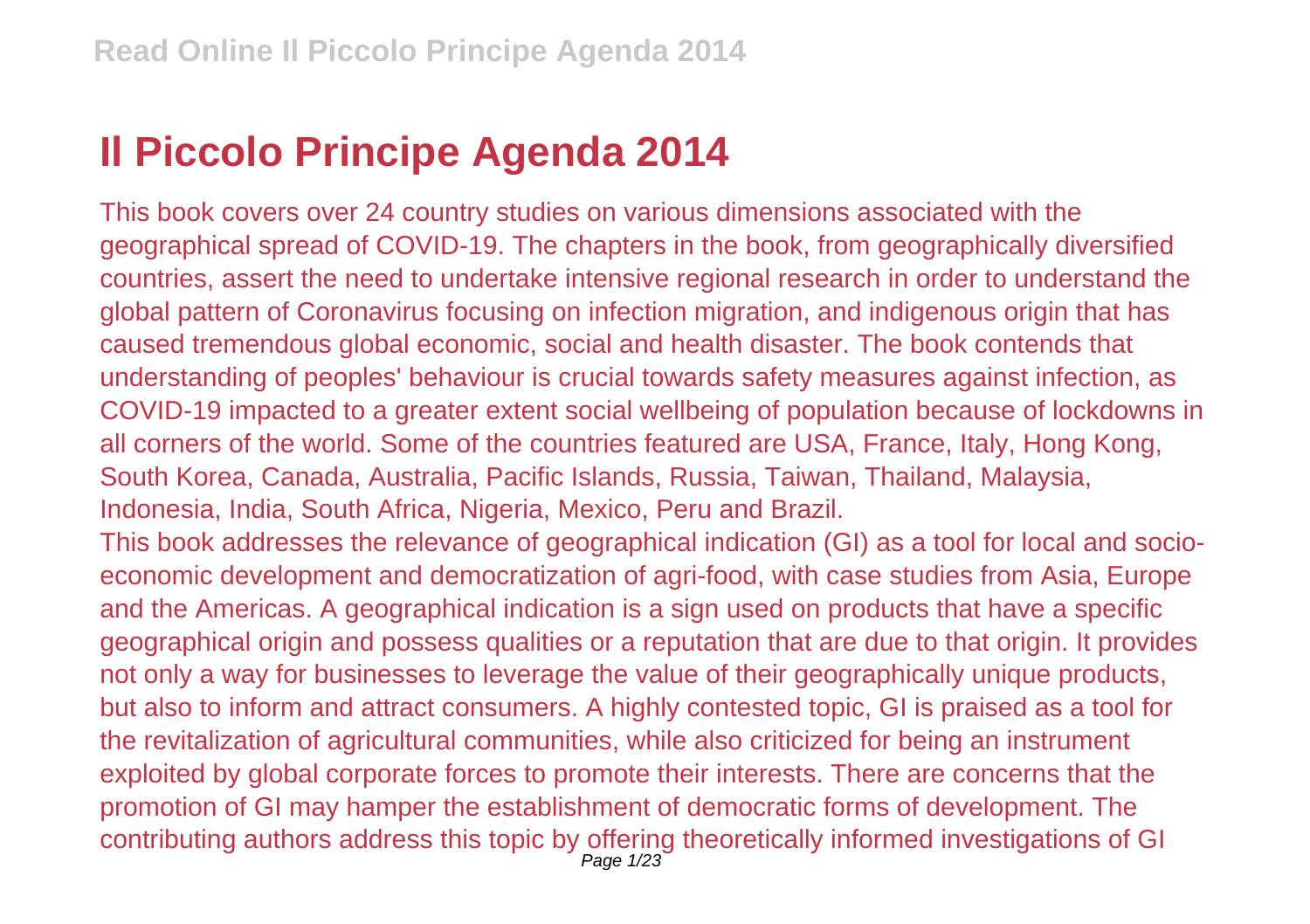## **Il Piccolo Principe Agenda 2014**

This book covers over 24 country studies on various dimensions associated with the geographical spread of COVID-19. The chapters in the book, from geographically diversified countries, assert the need to undertake intensive regional research in order to understand the global pattern of Coronavirus focusing on infection migration, and indigenous origin that has caused tremendous global economic, social and health disaster. The book contends that understanding of peoples' behaviour is crucial towards safety measures against infection, as COVID-19 impacted to a greater extent social wellbeing of population because of lockdowns in all corners of the world. Some of the countries featured are USA, France, Italy, Hong Kong, South Korea, Canada, Australia, Pacific Islands, Russia, Taiwan, Thailand, Malaysia, Indonesia, India, South Africa, Nigeria, Mexico, Peru and Brazil. This book addresses the relevance of geographical indication (GI) as a tool for local and socioeconomic development and democratization of agri-food, with case studies from Asia, Europe and the Americas. A geographical indication is a sign used on products that have a specific

geographical origin and possess qualities or a reputation that are due to that origin. It provides not only a way for businesses to leverage the value of their geographically unique products, but also to inform and attract consumers. A highly contested topic, GI is praised as a tool for the revitalization of agricultural communities, while also criticized for being an instrument exploited by global corporate forces to promote their interests. There are concerns that the promotion of GI may hamper the establishment of democratic forms of development. The contributing authors address this topic by offering theoretically informed investigations of GI<br>Page 1/23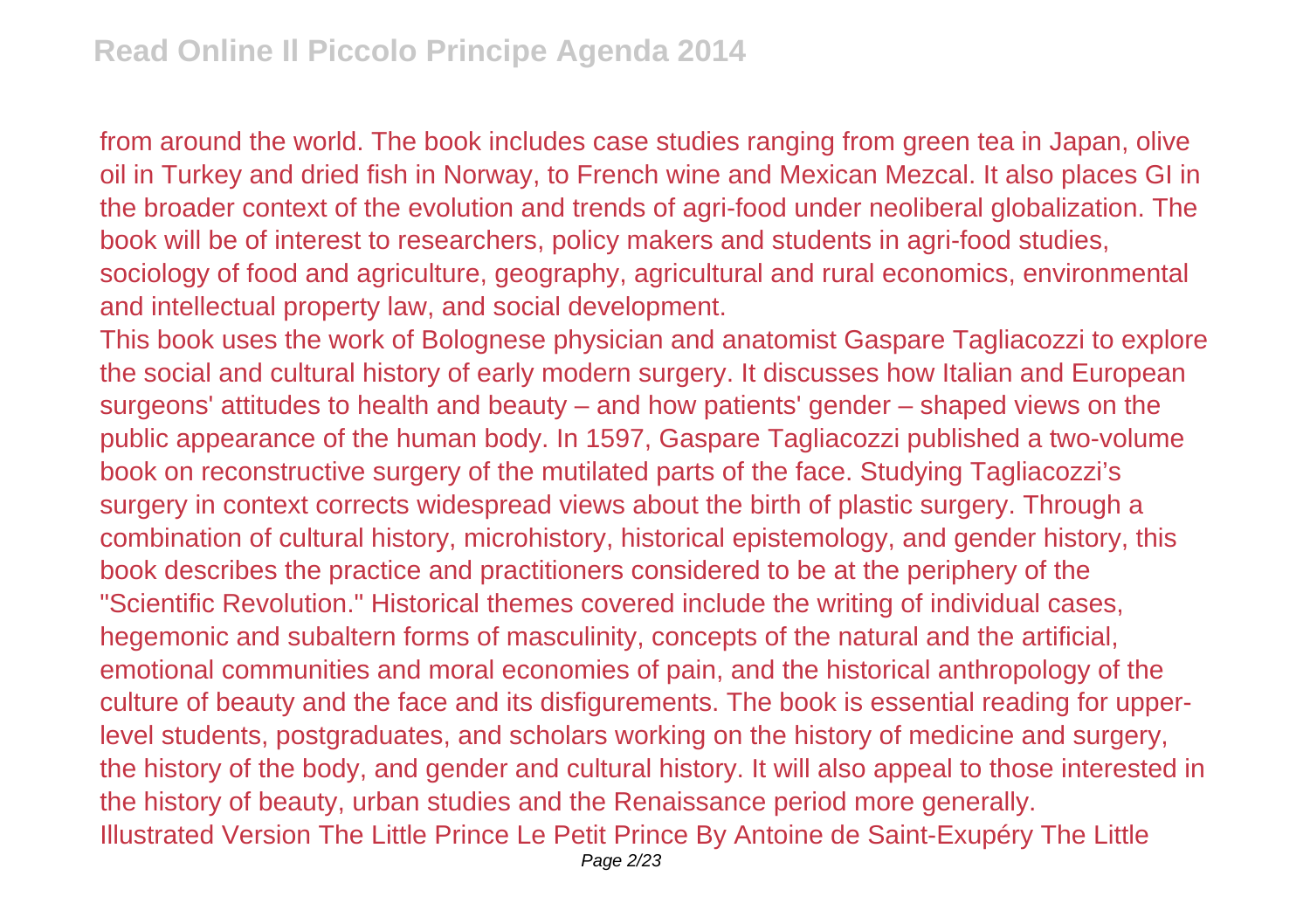from around the world. The book includes case studies ranging from green tea in Japan, olive oil in Turkey and dried fish in Norway, to French wine and Mexican Mezcal. It also places GI in the broader context of the evolution and trends of agri-food under neoliberal globalization. The book will be of interest to researchers, policy makers and students in agri-food studies, sociology of food and agriculture, geography, agricultural and rural economics, environmental and intellectual property law, and social development.

This book uses the work of Bolognese physician and anatomist Gaspare Tagliacozzi to explore the social and cultural history of early modern surgery. It discusses how Italian and European surgeons' attitudes to health and beauty – and how patients' gender – shaped views on the public appearance of the human body. In 1597, Gaspare Tagliacozzi published a two-volume book on reconstructive surgery of the mutilated parts of the face. Studying Tagliacozzi's surgery in context corrects widespread views about the birth of plastic surgery. Through a combination of cultural history, microhistory, historical epistemology, and gender history, this book describes the practice and practitioners considered to be at the periphery of the "Scientific Revolution." Historical themes covered include the writing of individual cases, hegemonic and subaltern forms of masculinity, concepts of the natural and the artificial, emotional communities and moral economies of pain, and the historical anthropology of the culture of beauty and the face and its disfigurements. The book is essential reading for upperlevel students, postgraduates, and scholars working on the history of medicine and surgery, the history of the body, and gender and cultural history. It will also appeal to those interested in the history of beauty, urban studies and the Renaissance period more generally. Illustrated Version The Little Prince Le Petit Prince By Antoine de Saint-Exupéry The Little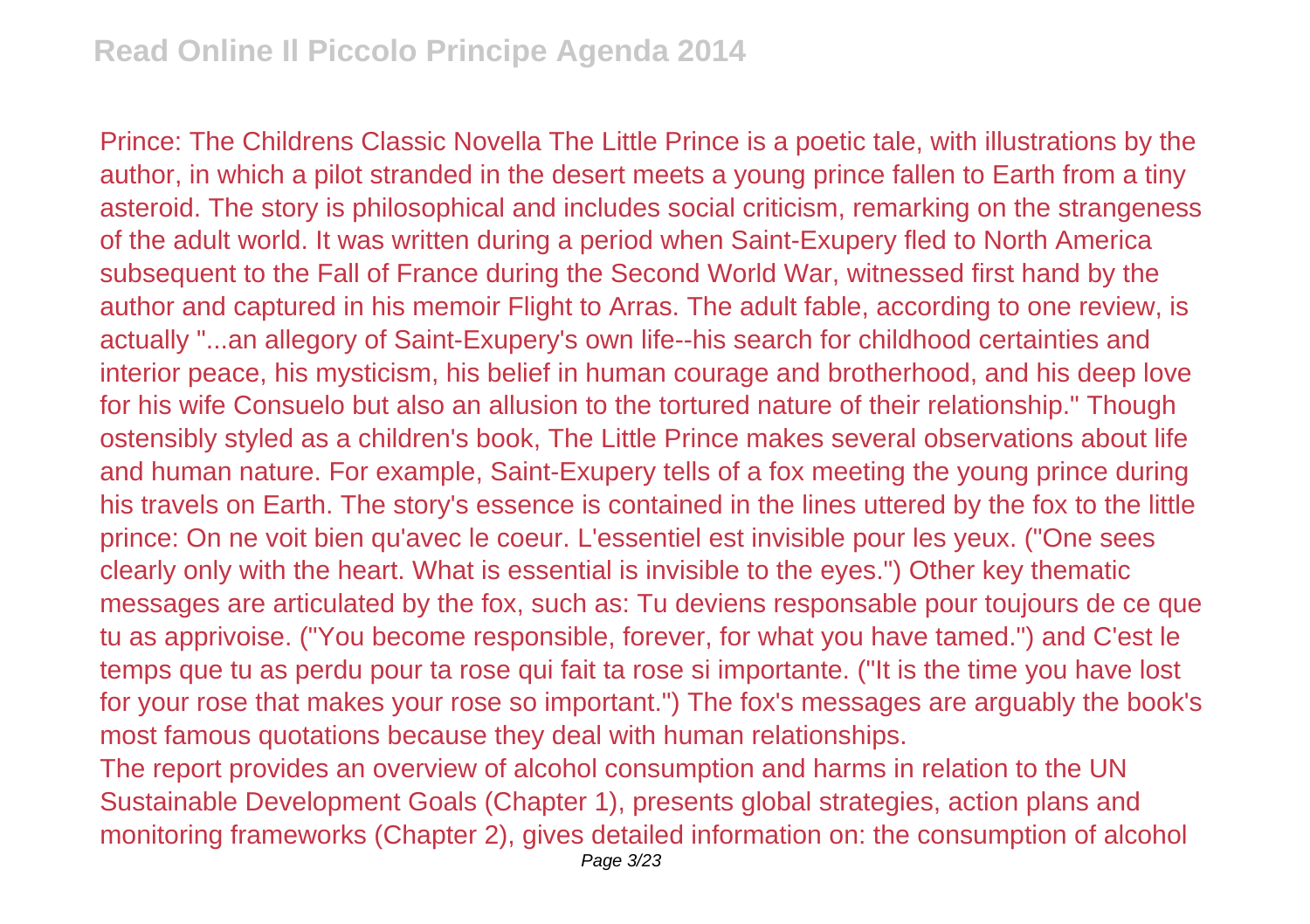Prince: The Childrens Classic Novella The Little Prince is a poetic tale, with illustrations by the author, in which a pilot stranded in the desert meets a young prince fallen to Earth from a tiny asteroid. The story is philosophical and includes social criticism, remarking on the strangeness of the adult world. It was written during a period when Saint-Exupery fled to North America subsequent to the Fall of France during the Second World War, witnessed first hand by the author and captured in his memoir Flight to Arras. The adult fable, according to one review, is actually "...an allegory of Saint-Exupery's own life--his search for childhood certainties and interior peace, his mysticism, his belief in human courage and brotherhood, and his deep love for his wife Consuelo but also an allusion to the tortured nature of their relationship." Though ostensibly styled as a children's book, The Little Prince makes several observations about life and human nature. For example, Saint-Exupery tells of a fox meeting the young prince during his travels on Earth. The story's essence is contained in the lines uttered by the fox to the little prince: On ne voit bien qu'avec le coeur. L'essentiel est invisible pour les yeux. ("One sees clearly only with the heart. What is essential is invisible to the eyes.") Other key thematic messages are articulated by the fox, such as: Tu deviens responsable pour toujours de ce que tu as apprivoise. ("You become responsible, forever, for what you have tamed.") and C'est le temps que tu as perdu pour ta rose qui fait ta rose si importante. ("It is the time you have lost for your rose that makes your rose so important.") The fox's messages are arguably the book's most famous quotations because they deal with human relationships.

The report provides an overview of alcohol consumption and harms in relation to the UN Sustainable Development Goals (Chapter 1), presents global strategies, action plans and monitoring frameworks (Chapter 2), gives detailed information on: the consumption of alcohol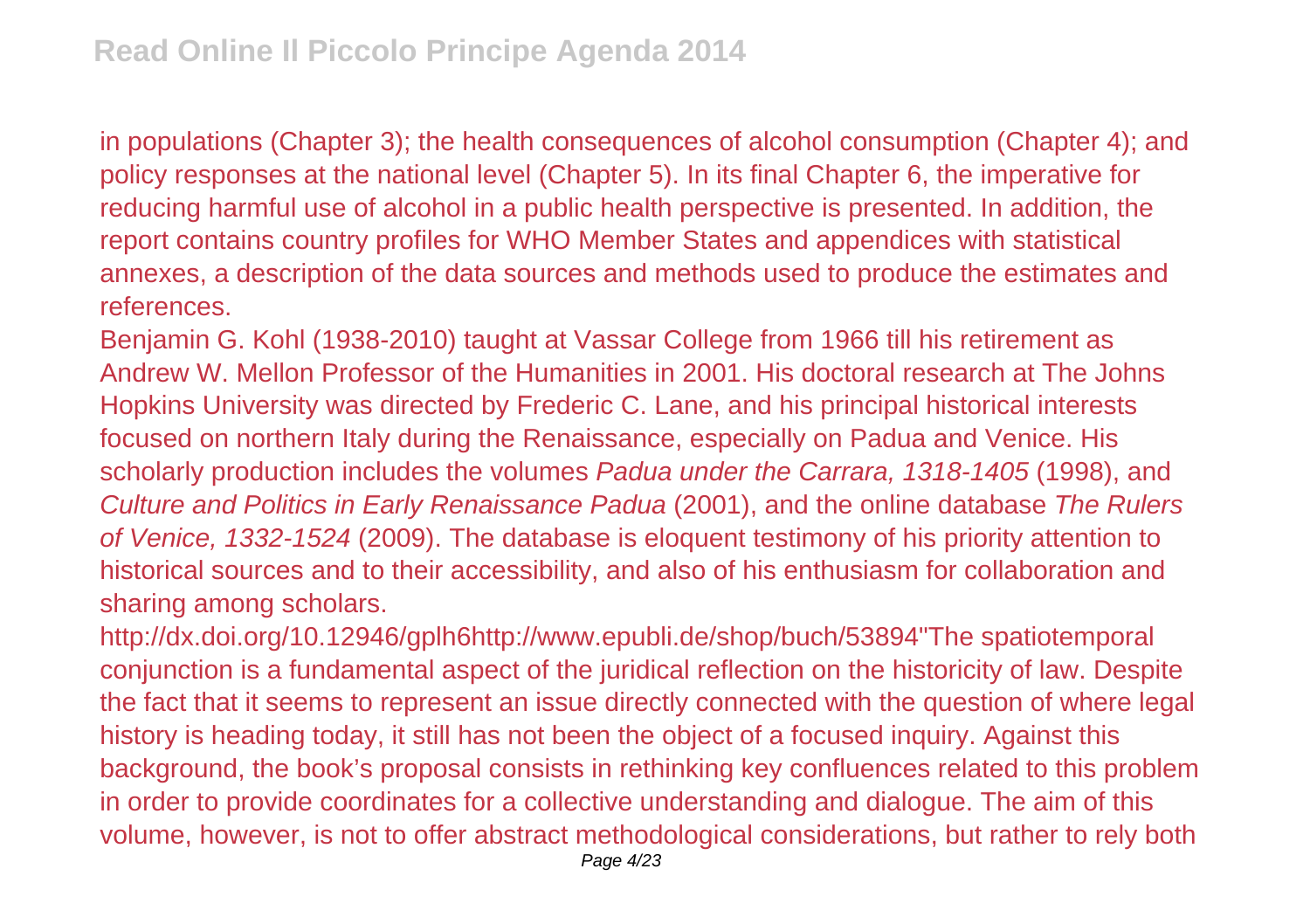in populations (Chapter 3); the health consequences of alcohol consumption (Chapter 4); and policy responses at the national level (Chapter 5). In its final Chapter 6, the imperative for reducing harmful use of alcohol in a public health perspective is presented. In addition, the report contains country profiles for WHO Member States and appendices with statistical annexes, a description of the data sources and methods used to produce the estimates and references.

Benjamin G. Kohl (1938-2010) taught at Vassar College from 1966 till his retirement as Andrew W. Mellon Professor of the Humanities in 2001. His doctoral research at The Johns Hopkins University was directed by Frederic C. Lane, and his principal historical interests focused on northern Italy during the Renaissance, especially on Padua and Venice. His scholarly production includes the volumes Padua under the Carrara, 1318-1405 (1998), and Culture and Politics in Early Renaissance Padua (2001), and the online database The Rulers of Venice, 1332-1524 (2009). The database is eloquent testimony of his priority attention to historical sources and to their accessibility, and also of his enthusiasm for collaboration and sharing among scholars.

http://dx.doi.org/10.12946/gplh6http://www.epubli.de/shop/buch/53894"The spatiotemporal conjunction is a fundamental aspect of the juridical reflection on the historicity of law. Despite the fact that it seems to represent an issue directly connected with the question of where legal history is heading today, it still has not been the object of a focused inquiry. Against this background, the book's proposal consists in rethinking key confluences related to this problem in order to provide coordinates for a collective understanding and dialogue. The aim of this volume, however, is not to offer abstract methodological considerations, but rather to rely both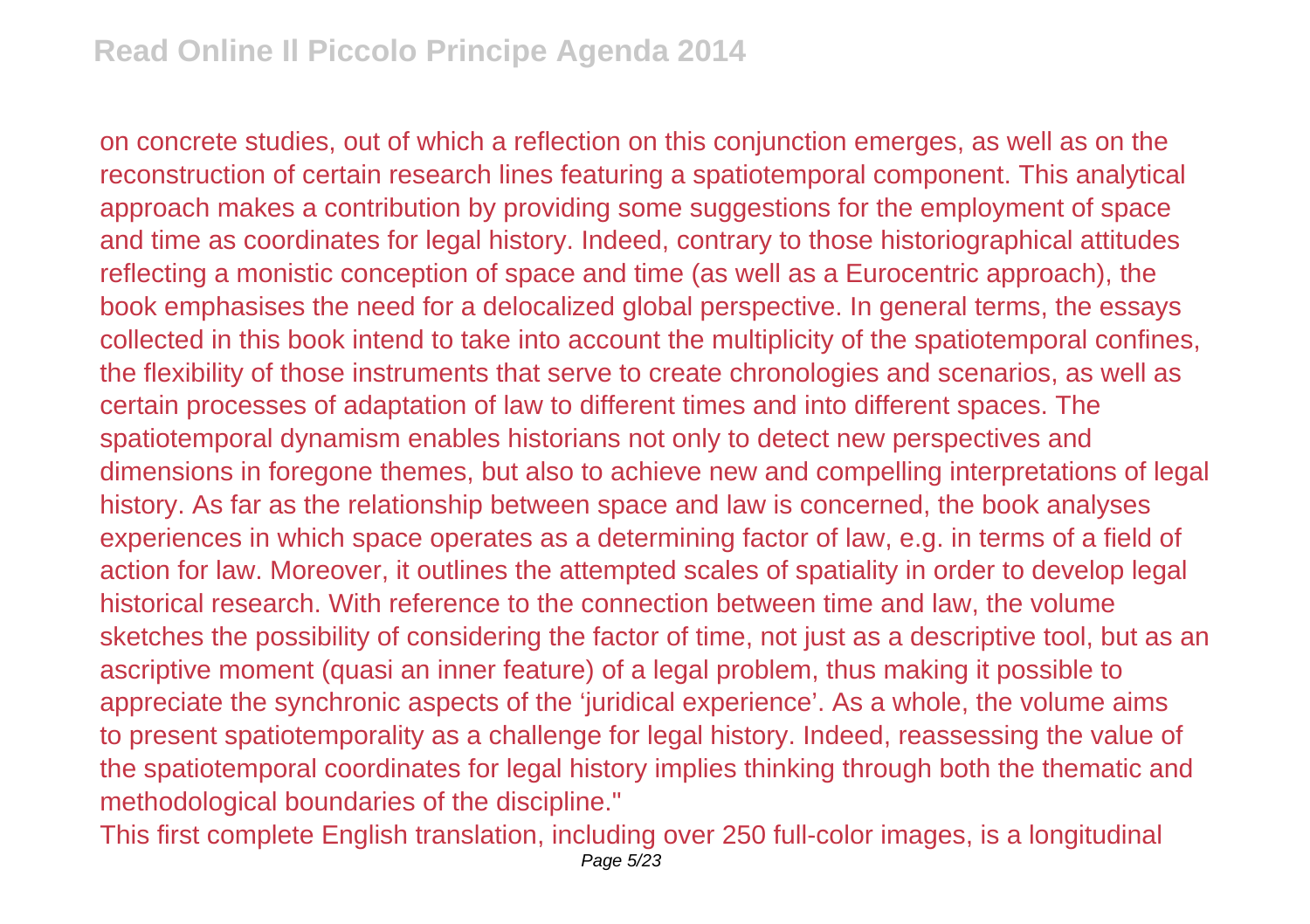on concrete studies, out of which a reflection on this conjunction emerges, as well as on the reconstruction of certain research lines featuring a spatiotemporal component. This analytical approach makes a contribution by providing some suggestions for the employment of space and time as coordinates for legal history. Indeed, contrary to those historiographical attitudes reflecting a monistic conception of space and time (as well as a Eurocentric approach), the book emphasises the need for a delocalized global perspective. In general terms, the essays collected in this book intend to take into account the multiplicity of the spatiotemporal confines, the flexibility of those instruments that serve to create chronologies and scenarios, as well as certain processes of adaptation of law to different times and into different spaces. The spatiotemporal dynamism enables historians not only to detect new perspectives and dimensions in foregone themes, but also to achieve new and compelling interpretations of legal history. As far as the relationship between space and law is concerned, the book analyses experiences in which space operates as a determining factor of law, e.g. in terms of a field of action for law. Moreover, it outlines the attempted scales of spatiality in order to develop legal historical research. With reference to the connection between time and law, the volume sketches the possibility of considering the factor of time, not just as a descriptive tool, but as an ascriptive moment (quasi an inner feature) of a legal problem, thus making it possible to appreciate the synchronic aspects of the 'juridical experience'. As a whole, the volume aims to present spatiotemporality as a challenge for legal history. Indeed, reassessing the value of the spatiotemporal coordinates for legal history implies thinking through both the thematic and methodological boundaries of the discipline."

This first complete English translation, including over 250 full-color images, is a longitudinal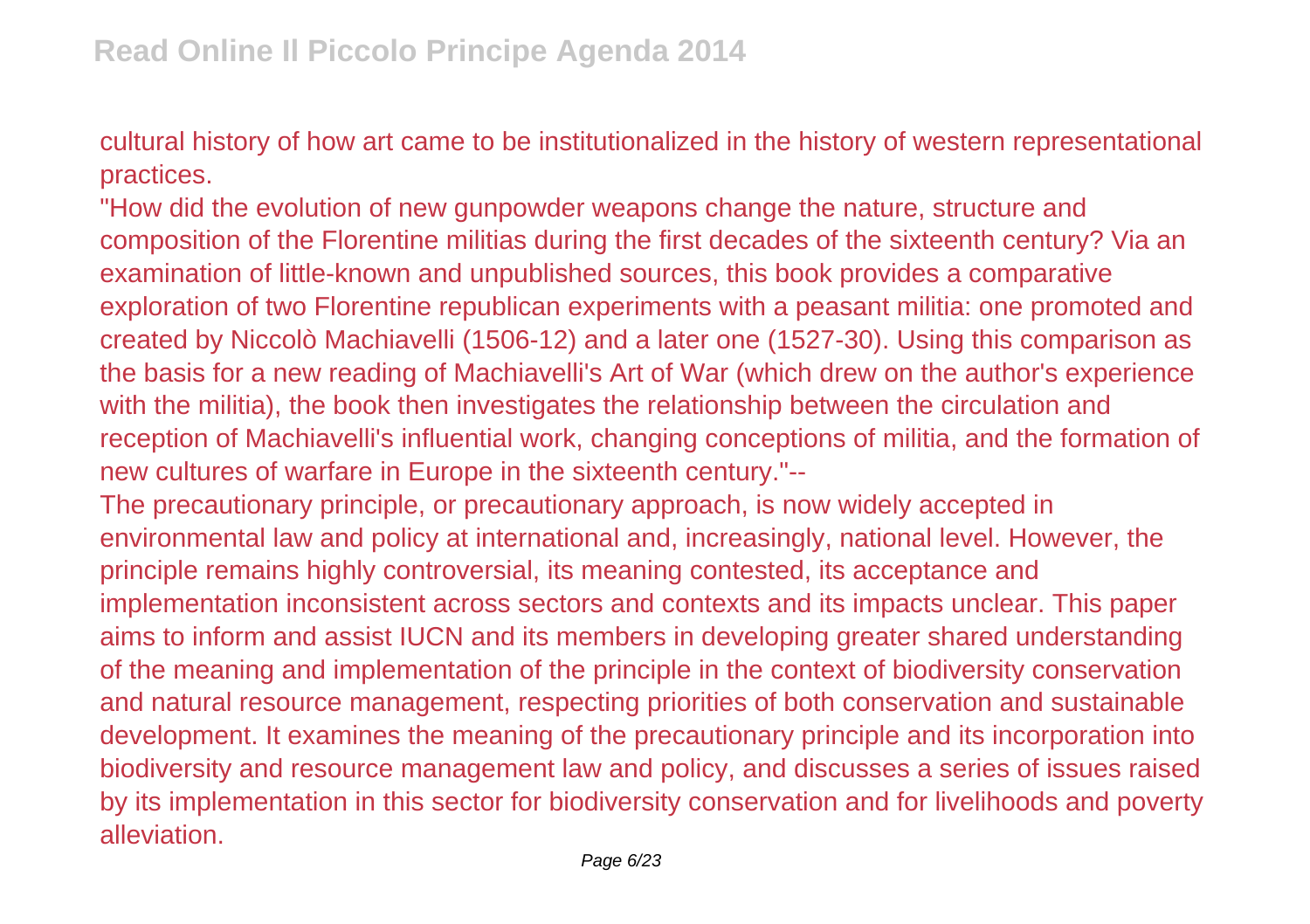cultural history of how art came to be institutionalized in the history of western representational practices.

"How did the evolution of new gunpowder weapons change the nature, structure and composition of the Florentine militias during the first decades of the sixteenth century? Via an examination of little-known and unpublished sources, this book provides a comparative exploration of two Florentine republican experiments with a peasant militia: one promoted and created by Niccolò Machiavelli (1506-12) and a later one (1527-30). Using this comparison as the basis for a new reading of Machiavelli's Art of War (which drew on the author's experience with the militia), the book then investigates the relationship between the circulation and reception of Machiavelli's influential work, changing conceptions of militia, and the formation of new cultures of warfare in Europe in the sixteenth century."--

The precautionary principle, or precautionary approach, is now widely accepted in environmental law and policy at international and, increasingly, national level. However, the principle remains highly controversial, its meaning contested, its acceptance and implementation inconsistent across sectors and contexts and its impacts unclear. This paper aims to inform and assist IUCN and its members in developing greater shared understanding of the meaning and implementation of the principle in the context of biodiversity conservation and natural resource management, respecting priorities of both conservation and sustainable development. It examines the meaning of the precautionary principle and its incorporation into biodiversity and resource management law and policy, and discusses a series of issues raised by its implementation in this sector for biodiversity conservation and for livelihoods and poverty alleviation.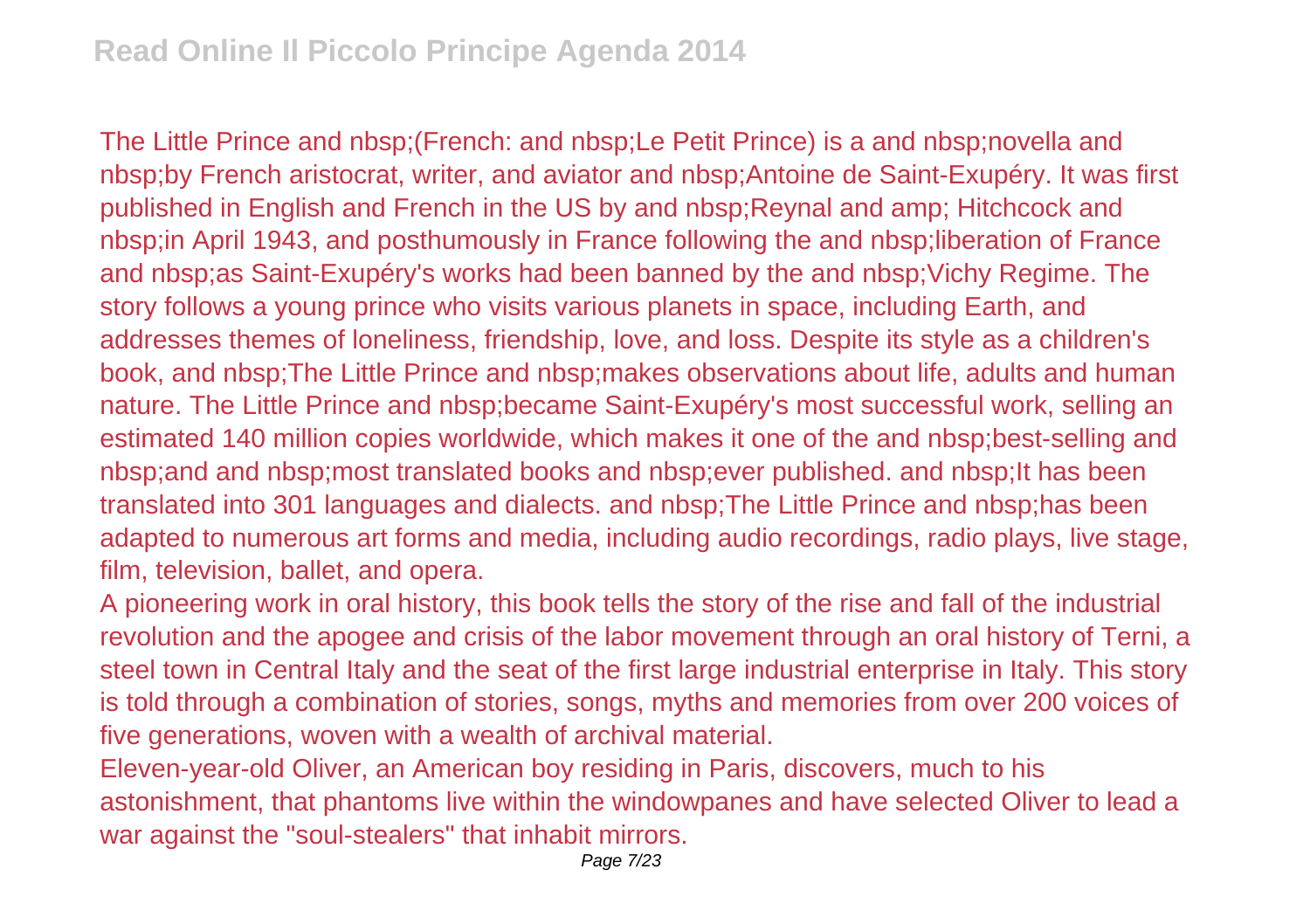The Little Prince and nbsp;(French: and nbsp;Le Petit Prince) is a and nbsp;novella and nbsp;by French aristocrat, writer, and aviator and nbsp;Antoine de Saint-Exupéry. It was first published in English and French in the US by and nbsp;Reynal and amp; Hitchcock and nbsp;in April 1943, and posthumously in France following the and nbsp;liberation of France and nbsp;as Saint-Exupéry's works had been banned by the and nbsp;Vichy Regime. The story follows a young prince who visits various planets in space, including Earth, and addresses themes of loneliness, friendship, love, and loss. Despite its style as a children's book, and nbsp;The Little Prince and nbsp;makes observations about life, adults and human nature. The Little Prince and nbsp;became Saint-Exupéry's most successful work, selling an estimated 140 million copies worldwide, which makes it one of the and nbsp;best-selling and nbsp;and and nbsp;most translated books and nbsp;ever published. and nbsp;It has been translated into 301 languages and dialects. and nbsp;The Little Prince and nbsp;has been adapted to numerous art forms and media, including audio recordings, radio plays, live stage, film, television, ballet, and opera.

A pioneering work in oral history, this book tells the story of the rise and fall of the industrial revolution and the apogee and crisis of the labor movement through an oral history of Terni, a steel town in Central Italy and the seat of the first large industrial enterprise in Italy. This story is told through a combination of stories, songs, myths and memories from over 200 voices of five generations, woven with a wealth of archival material.

Eleven-year-old Oliver, an American boy residing in Paris, discovers, much to his astonishment, that phantoms live within the windowpanes and have selected Oliver to lead a war against the "soul-stealers" that inhabit mirrors.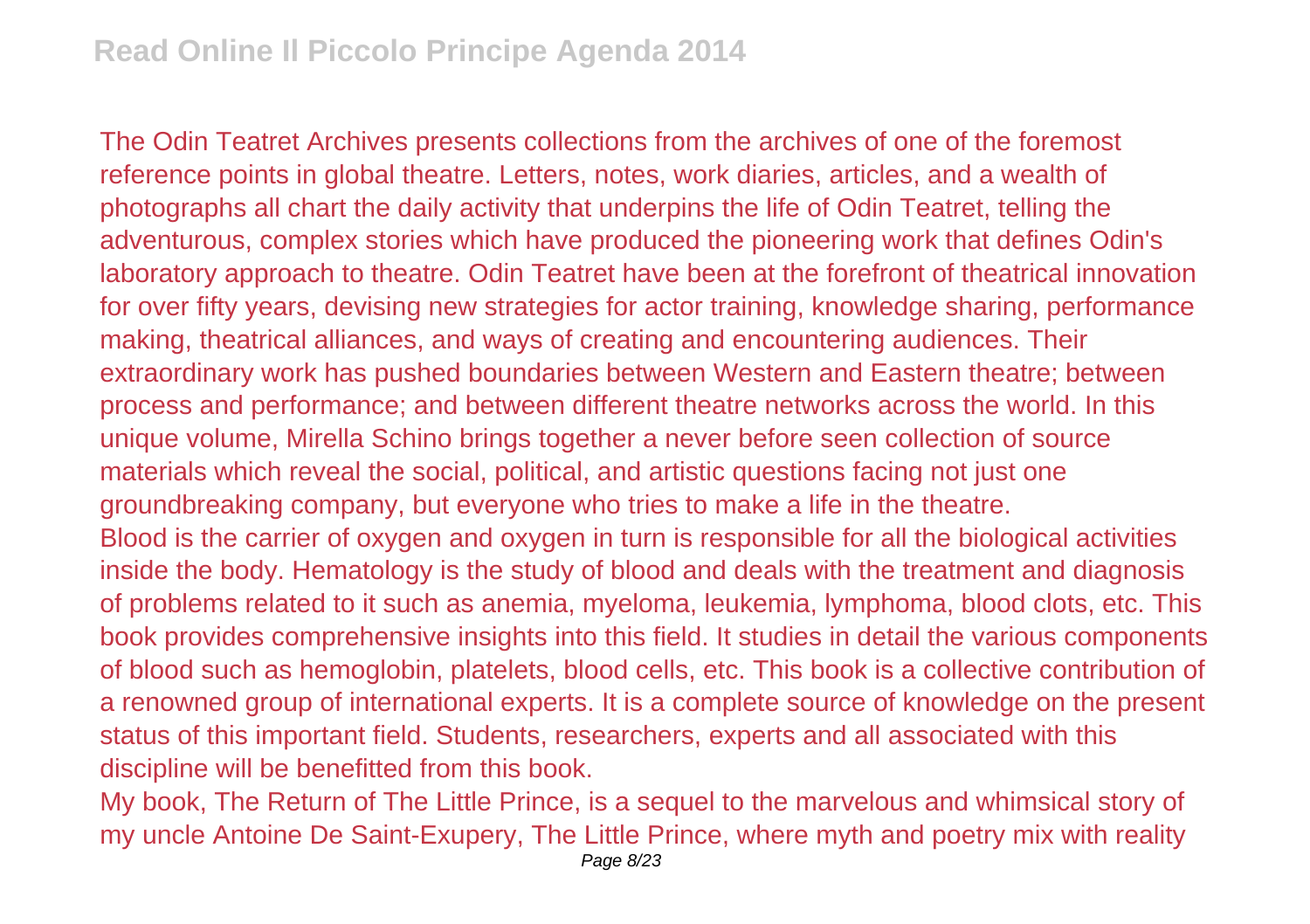The Odin Teatret Archives presents collections from the archives of one of the foremost reference points in global theatre. Letters, notes, work diaries, articles, and a wealth of photographs all chart the daily activity that underpins the life of Odin Teatret, telling the adventurous, complex stories which have produced the pioneering work that defines Odin's laboratory approach to theatre. Odin Teatret have been at the forefront of theatrical innovation for over fifty years, devising new strategies for actor training, knowledge sharing, performance making, theatrical alliances, and ways of creating and encountering audiences. Their extraordinary work has pushed boundaries between Western and Eastern theatre; between process and performance; and between different theatre networks across the world. In this unique volume, Mirella Schino brings together a never before seen collection of source materials which reveal the social, political, and artistic questions facing not just one groundbreaking company, but everyone who tries to make a life in the theatre. Blood is the carrier of oxygen and oxygen in turn is responsible for all the biological activities inside the body. Hematology is the study of blood and deals with the treatment and diagnosis of problems related to it such as anemia, myeloma, leukemia, lymphoma, blood clots, etc. This book provides comprehensive insights into this field. It studies in detail the various components of blood such as hemoglobin, platelets, blood cells, etc. This book is a collective contribution of a renowned group of international experts. It is a complete source of knowledge on the present status of this important field. Students, researchers, experts and all associated with this discipline will be benefitted from this book.

My book, The Return of The Little Prince, is a sequel to the marvelous and whimsical story of my uncle Antoine De Saint-Exupery, The Little Prince, where myth and poetry mix with reality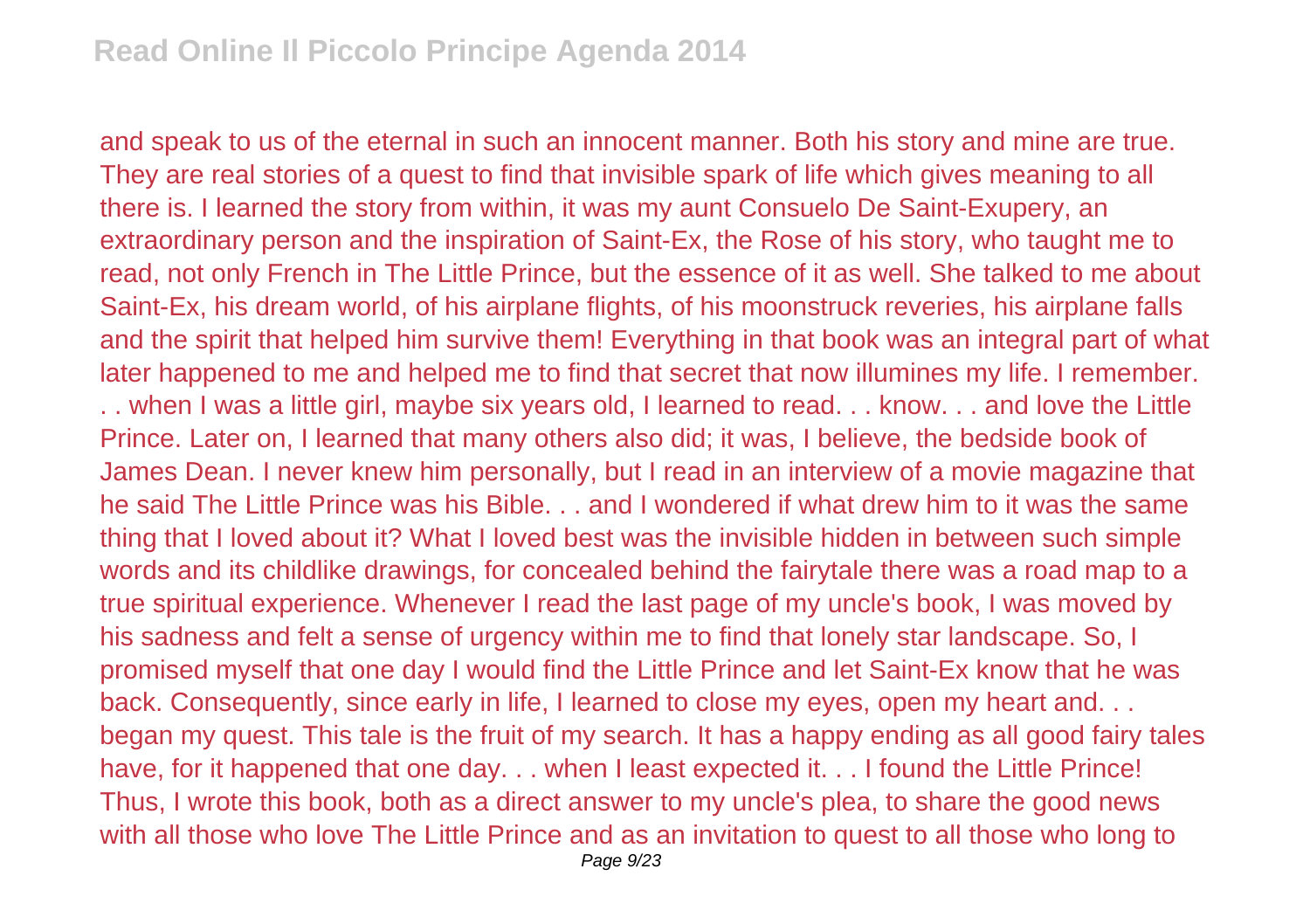and speak to us of the eternal in such an innocent manner. Both his story and mine are true. They are real stories of a quest to find that invisible spark of life which gives meaning to all there is. I learned the story from within, it was my aunt Consuelo De Saint-Exupery, an extraordinary person and the inspiration of Saint-Ex, the Rose of his story, who taught me to read, not only French in The Little Prince, but the essence of it as well. She talked to me about Saint-Ex, his dream world, of his airplane flights, of his moonstruck reveries, his airplane falls and the spirit that helped him survive them! Everything in that book was an integral part of what later happened to me and helped me to find that secret that now illumines my life. I remember. . . when I was a little girl, maybe six years old, I learned to read. . . know. . . and love the Little Prince. Later on, I learned that many others also did; it was, I believe, the bedside book of James Dean. I never knew him personally, but I read in an interview of a movie magazine that he said The Little Prince was his Bible. . . and I wondered if what drew him to it was the same thing that I loved about it? What I loved best was the invisible hidden in between such simple words and its childlike drawings, for concealed behind the fairytale there was a road map to a true spiritual experience. Whenever I read the last page of my uncle's book, I was moved by his sadness and felt a sense of urgency within me to find that lonely star landscape. So, I promised myself that one day I would find the Little Prince and let Saint-Ex know that he was back. Consequently, since early in life, I learned to close my eyes, open my heart and... began my quest. This tale is the fruit of my search. It has a happy ending as all good fairy tales have, for it happened that one day. . . when I least expected it. . . I found the Little Prince! Thus, I wrote this book, both as a direct answer to my uncle's plea, to share the good news with all those who love The Little Prince and as an invitation to quest to all those who long to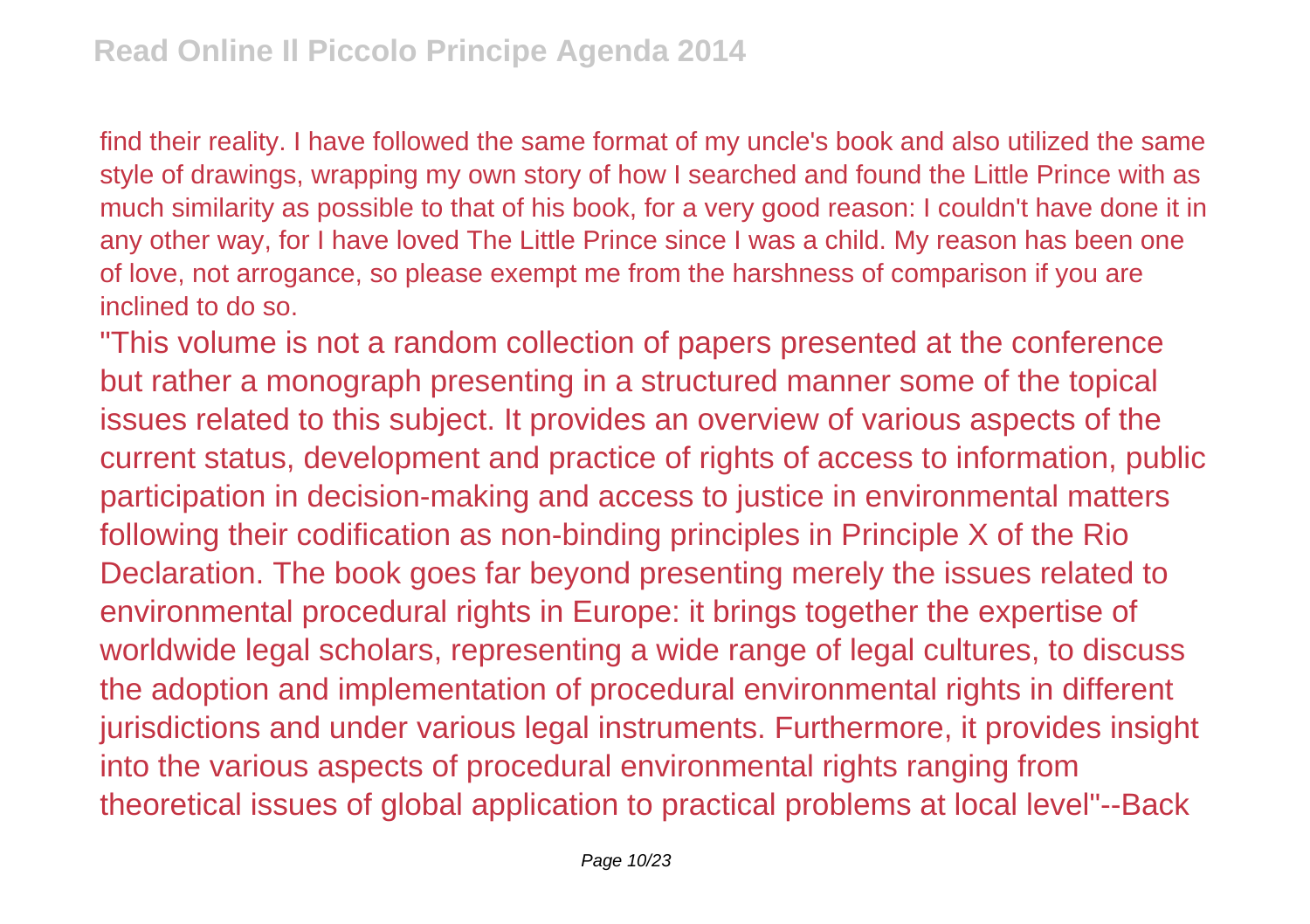find their reality. I have followed the same format of my uncle's book and also utilized the same style of drawings, wrapping my own story of how I searched and found the Little Prince with as much similarity as possible to that of his book, for a very good reason: I couldn't have done it in any other way, for I have loved The Little Prince since I was a child. My reason has been one of love, not arrogance, so please exempt me from the harshness of comparison if you are inclined to do so.

"This volume is not a random collection of papers presented at the conference but rather a monograph presenting in a structured manner some of the topical issues related to this subject. It provides an overview of various aspects of the current status, development and practice of rights of access to information, public participation in decision-making and access to justice in environmental matters following their codification as non-binding principles in Principle X of the Rio Declaration. The book goes far beyond presenting merely the issues related to environmental procedural rights in Europe: it brings together the expertise of worldwide legal scholars, representing a wide range of legal cultures, to discuss the adoption and implementation of procedural environmental rights in different jurisdictions and under various legal instruments. Furthermore, it provides insight into the various aspects of procedural environmental rights ranging from theoretical issues of global application to practical problems at local level"--Back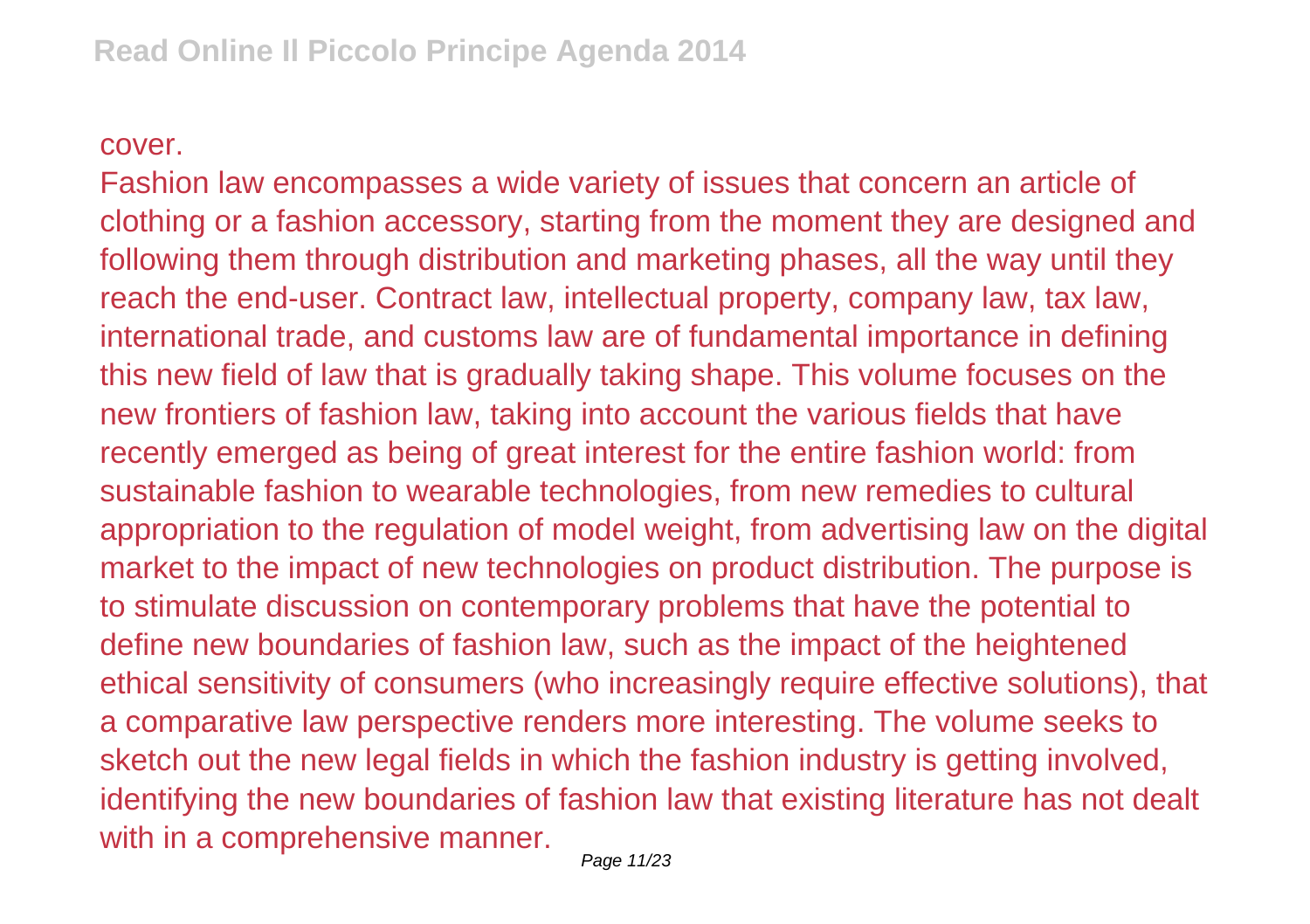## cover.

Fashion law encompasses a wide variety of issues that concern an article of clothing or a fashion accessory, starting from the moment they are designed and following them through distribution and marketing phases, all the way until they reach the end-user. Contract law, intellectual property, company law, tax law, international trade, and customs law are of fundamental importance in defining this new field of law that is gradually taking shape. This volume focuses on the new frontiers of fashion law, taking into account the various fields that have recently emerged as being of great interest for the entire fashion world: from sustainable fashion to wearable technologies, from new remedies to cultural appropriation to the regulation of model weight, from advertising law on the digital market to the impact of new technologies on product distribution. The purpose is to stimulate discussion on contemporary problems that have the potential to define new boundaries of fashion law, such as the impact of the heightened ethical sensitivity of consumers (who increasingly require effective solutions), that a comparative law perspective renders more interesting. The volume seeks to sketch out the new legal fields in which the fashion industry is getting involved, identifying the new boundaries of fashion law that existing literature has not dealt with in a comprehensive manner.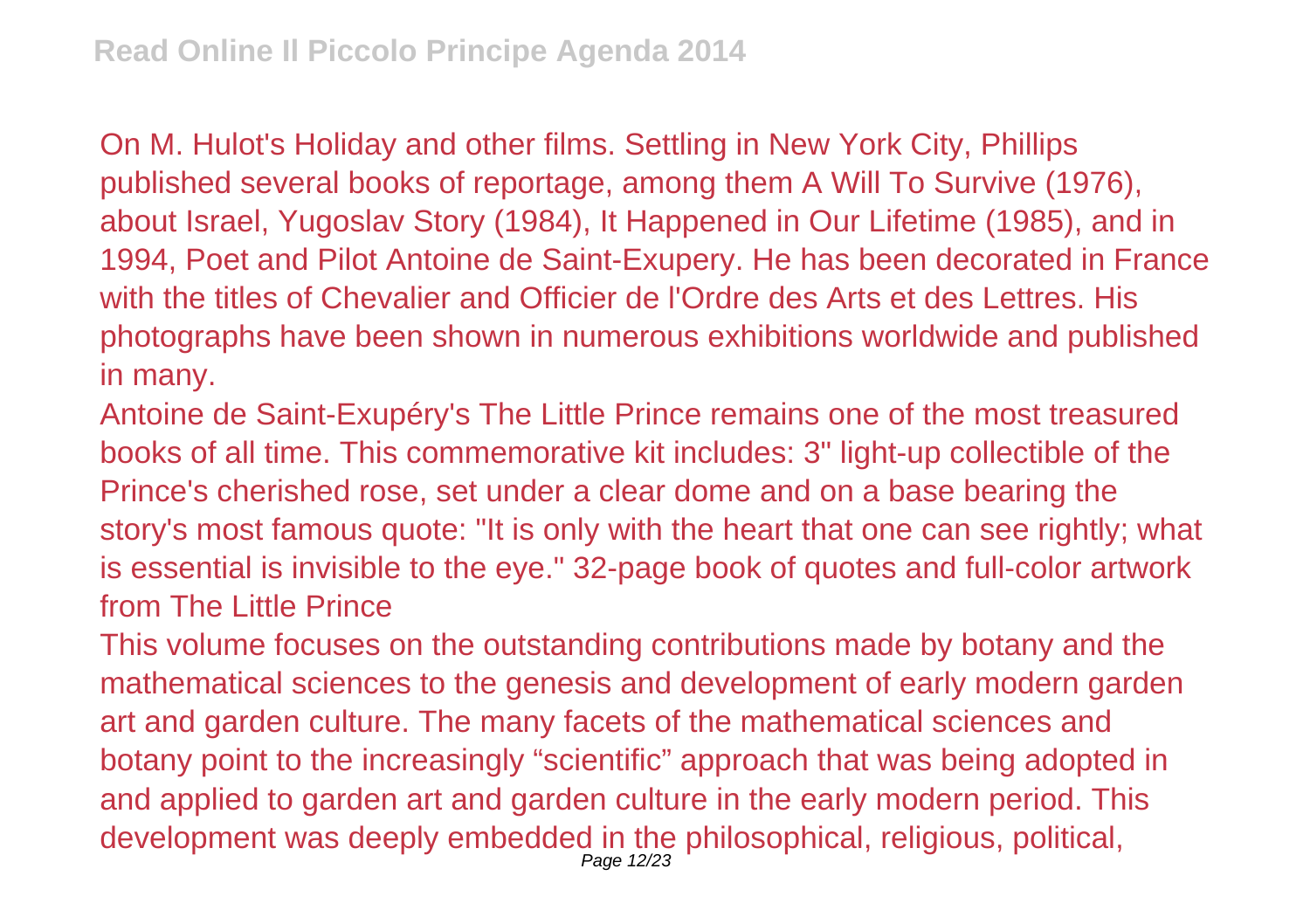On M. Hulot's Holiday and other films. Settling in New York City, Phillips published several books of reportage, among them A Will To Survive (1976), about Israel, Yugoslav Story (1984), It Happened in Our Lifetime (1985), and in 1994, Poet and Pilot Antoine de Saint-Exupery. He has been decorated in France with the titles of Chevalier and Officier de l'Ordre des Arts et des Lettres. His photographs have been shown in numerous exhibitions worldwide and published in many.

Antoine de Saint-Exupéry's The Little Prince remains one of the most treasured books of all time. This commemorative kit includes: 3" light-up collectible of the Prince's cherished rose, set under a clear dome and on a base bearing the story's most famous quote: "It is only with the heart that one can see rightly; what is essential is invisible to the eye." 32-page book of quotes and full-color artwork from The Little Prince

This volume focuses on the outstanding contributions made by botany and the mathematical sciences to the genesis and development of early modern garden art and garden culture. The many facets of the mathematical sciences and botany point to the increasingly "scientific" approach that was being adopted in and applied to garden art and garden culture in the early modern period. This development was deeply embedded in the philosophical, religious, political, Page 12/23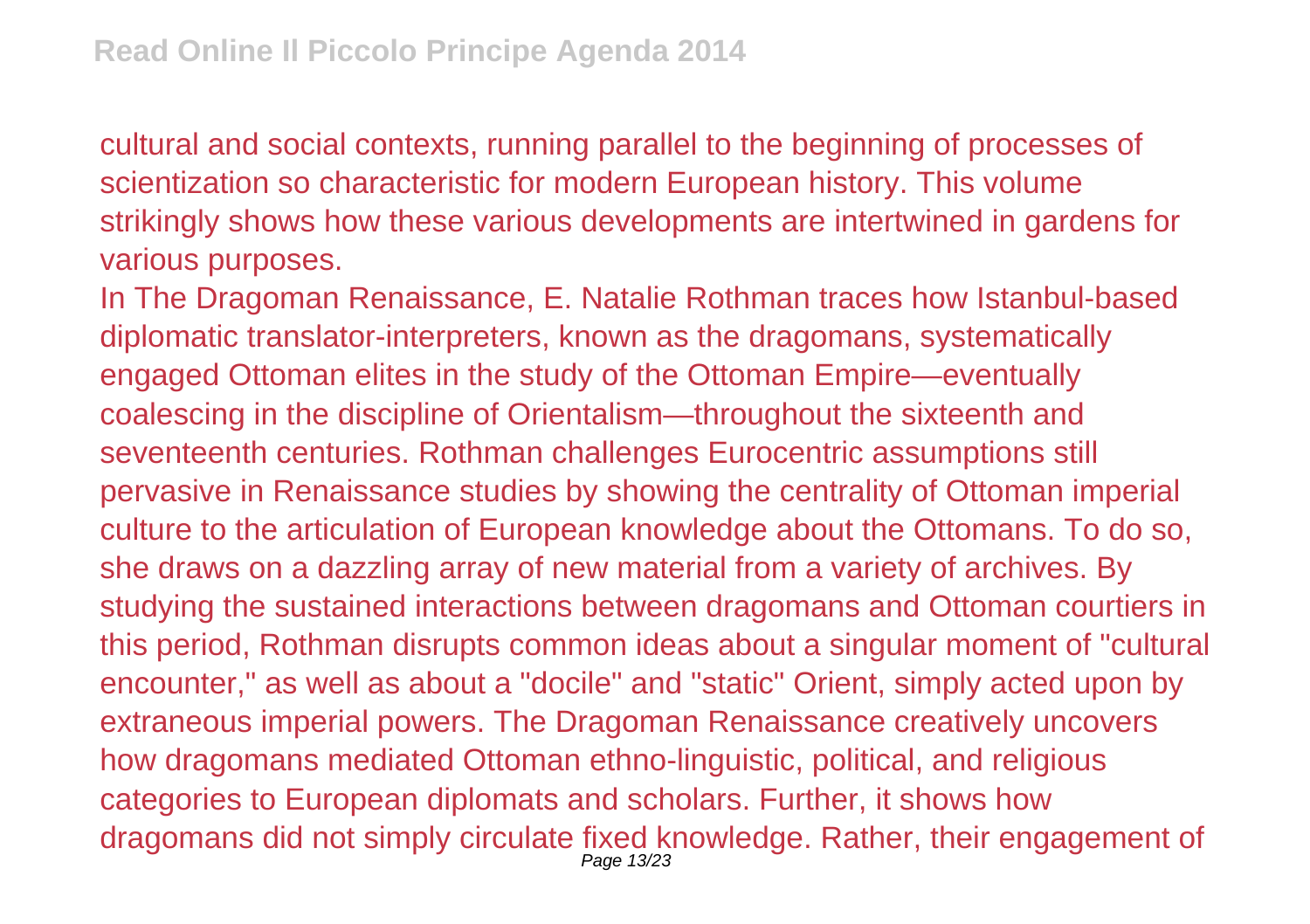cultural and social contexts, running parallel to the beginning of processes of scientization so characteristic for modern European history. This volume strikingly shows how these various developments are intertwined in gardens for various purposes.

In The Dragoman Renaissance, E. Natalie Rothman traces how Istanbul-based diplomatic translator-interpreters, known as the dragomans, systematically engaged Ottoman elites in the study of the Ottoman Empire—eventually coalescing in the discipline of Orientalism—throughout the sixteenth and seventeenth centuries. Rothman challenges Eurocentric assumptions still pervasive in Renaissance studies by showing the centrality of Ottoman imperial culture to the articulation of European knowledge about the Ottomans. To do so, she draws on a dazzling array of new material from a variety of archives. By studying the sustained interactions between dragomans and Ottoman courtiers in this period, Rothman disrupts common ideas about a singular moment of "cultural encounter," as well as about a "docile" and "static" Orient, simply acted upon by extraneous imperial powers. The Dragoman Renaissance creatively uncovers how dragomans mediated Ottoman ethno-linguistic, political, and religious categories to European diplomats and scholars. Further, it shows how dragomans did not simply circulate fixed knowledge. Rather, their engagement of Page 13/23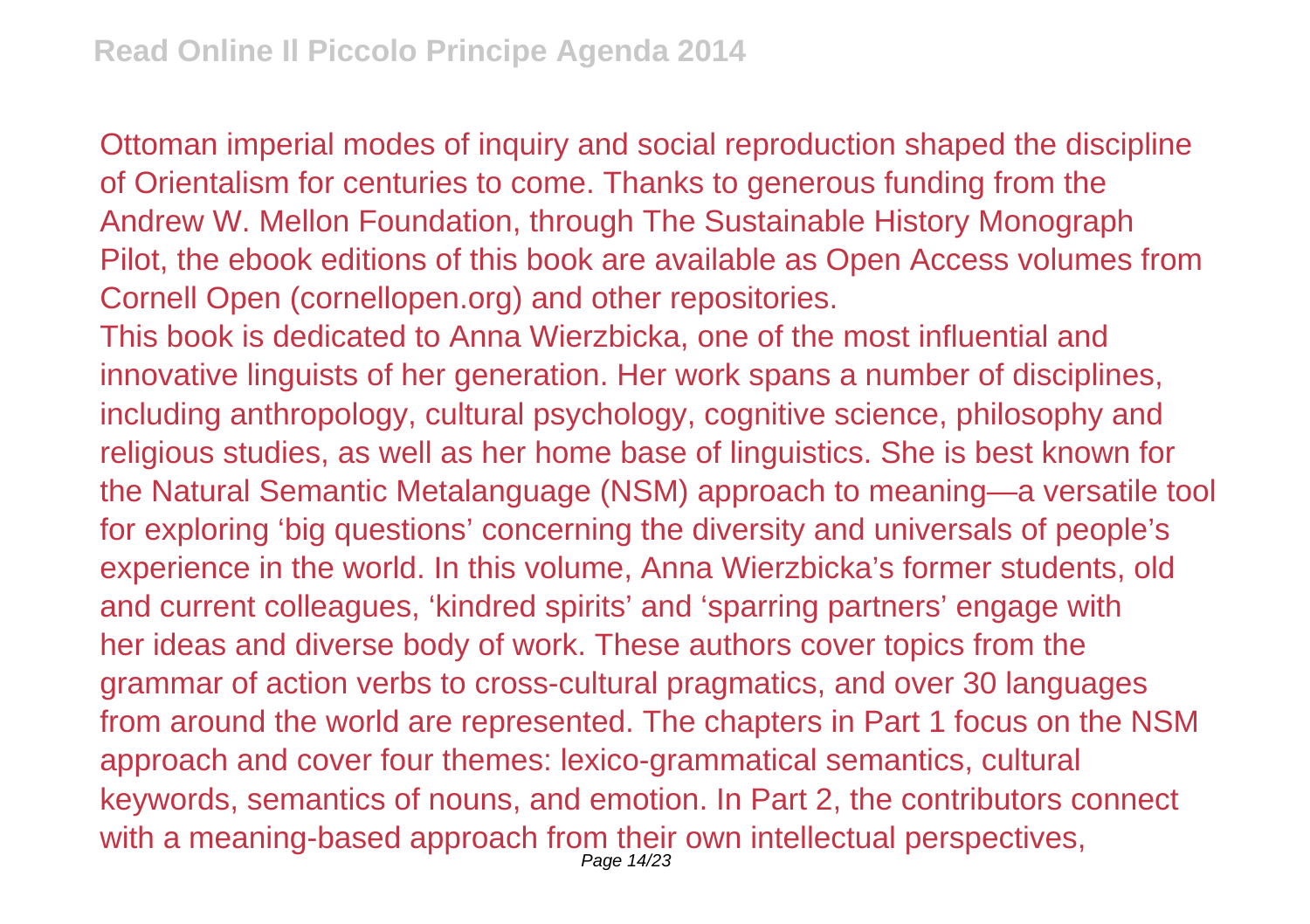Ottoman imperial modes of inquiry and social reproduction shaped the discipline of Orientalism for centuries to come. Thanks to generous funding from the Andrew W. Mellon Foundation, through The Sustainable History Monograph Pilot, the ebook editions of this book are available as Open Access volumes from Cornell Open (cornellopen.org) and other repositories.

This book is dedicated to Anna Wierzbicka, one of the most influential and innovative linguists of her generation. Her work spans a number of disciplines, including anthropology, cultural psychology, cognitive science, philosophy and religious studies, as well as her home base of linguistics. She is best known for the Natural Semantic Metalanguage (NSM) approach to meaning—a versatile tool for exploring 'big questions' concerning the diversity and universals of people's experience in the world. In this volume, Anna Wierzbicka's former students, old and current colleagues, 'kindred spirits' and 'sparring partners' engage with her ideas and diverse body of work. These authors cover topics from the grammar of action verbs to cross-cultural pragmatics, and over 30 languages from around the world are represented. The chapters in Part 1 focus on the NSM approach and cover four themes: lexico-grammatical semantics, cultural keywords, semantics of nouns, and emotion. In Part 2, the contributors connect with a meaning-based approach from their own intellectual perspectives, Page 14/23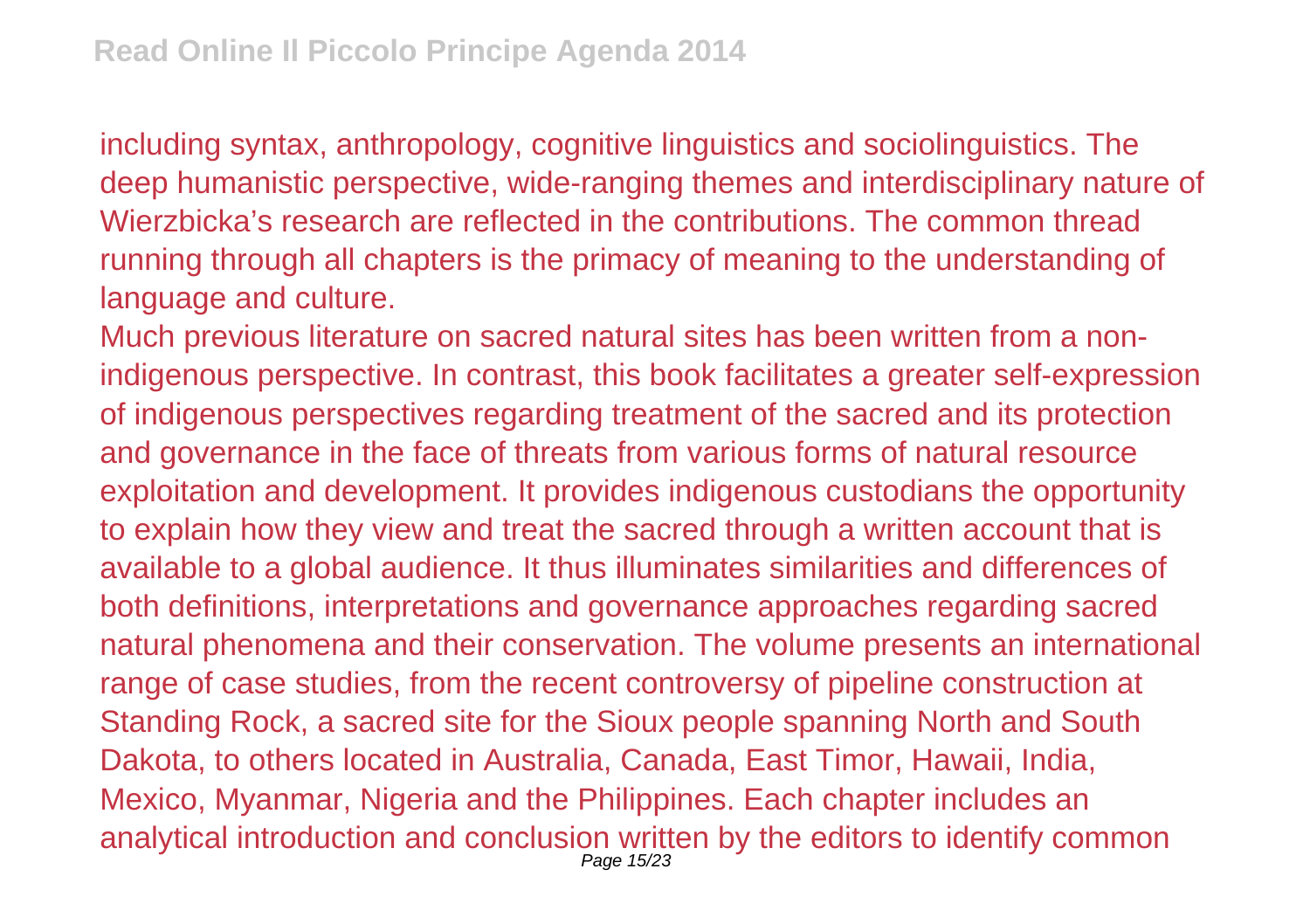including syntax, anthropology, cognitive linguistics and sociolinguistics. The deep humanistic perspective, wide-ranging themes and interdisciplinary nature of Wierzbicka's research are reflected in the contributions. The common thread running through all chapters is the primacy of meaning to the understanding of language and culture.

Much previous literature on sacred natural sites has been written from a nonindigenous perspective. In contrast, this book facilitates a greater self-expression of indigenous perspectives regarding treatment of the sacred and its protection and governance in the face of threats from various forms of natural resource exploitation and development. It provides indigenous custodians the opportunity to explain how they view and treat the sacred through a written account that is available to a global audience. It thus illuminates similarities and differences of both definitions, interpretations and governance approaches regarding sacred natural phenomena and their conservation. The volume presents an international range of case studies, from the recent controversy of pipeline construction at Standing Rock, a sacred site for the Sioux people spanning North and South Dakota, to others located in Australia, Canada, East Timor, Hawaii, India, Mexico, Myanmar, Nigeria and the Philippines. Each chapter includes an analytical introduction and conclusion written by the editors to identify common Page 15/23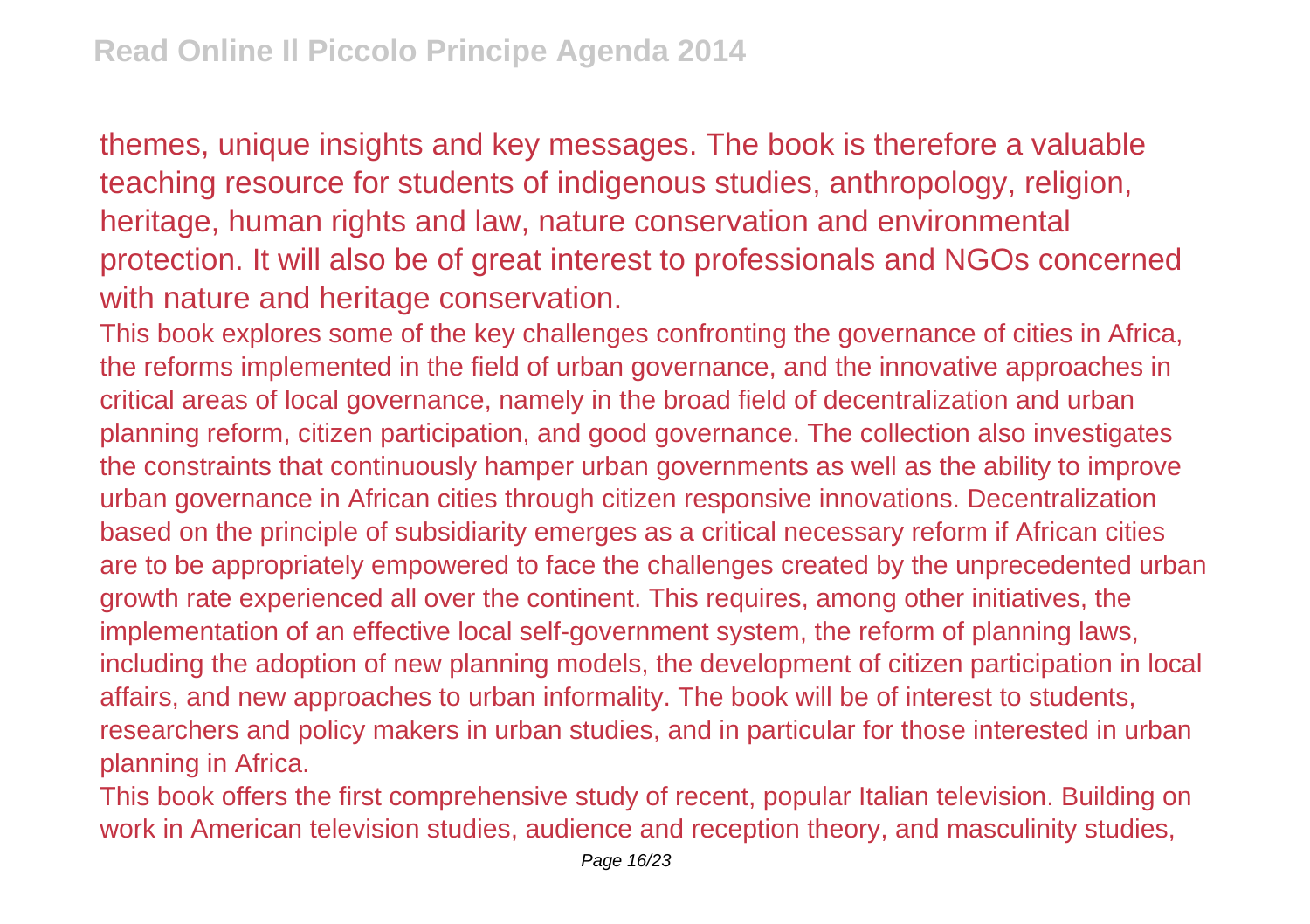themes, unique insights and key messages. The book is therefore a valuable teaching resource for students of indigenous studies, anthropology, religion, heritage, human rights and law, nature conservation and environmental protection. It will also be of great interest to professionals and NGOs concerned with nature and heritage conservation.

This book explores some of the key challenges confronting the governance of cities in Africa, the reforms implemented in the field of urban governance, and the innovative approaches in critical areas of local governance, namely in the broad field of decentralization and urban planning reform, citizen participation, and good governance. The collection also investigates the constraints that continuously hamper urban governments as well as the ability to improve urban governance in African cities through citizen responsive innovations. Decentralization based on the principle of subsidiarity emerges as a critical necessary reform if African cities are to be appropriately empowered to face the challenges created by the unprecedented urban growth rate experienced all over the continent. This requires, among other initiatives, the implementation of an effective local self-government system, the reform of planning laws, including the adoption of new planning models, the development of citizen participation in local affairs, and new approaches to urban informality. The book will be of interest to students, researchers and policy makers in urban studies, and in particular for those interested in urban planning in Africa.

This book offers the first comprehensive study of recent, popular Italian television. Building on work in American television studies, audience and reception theory, and masculinity studies,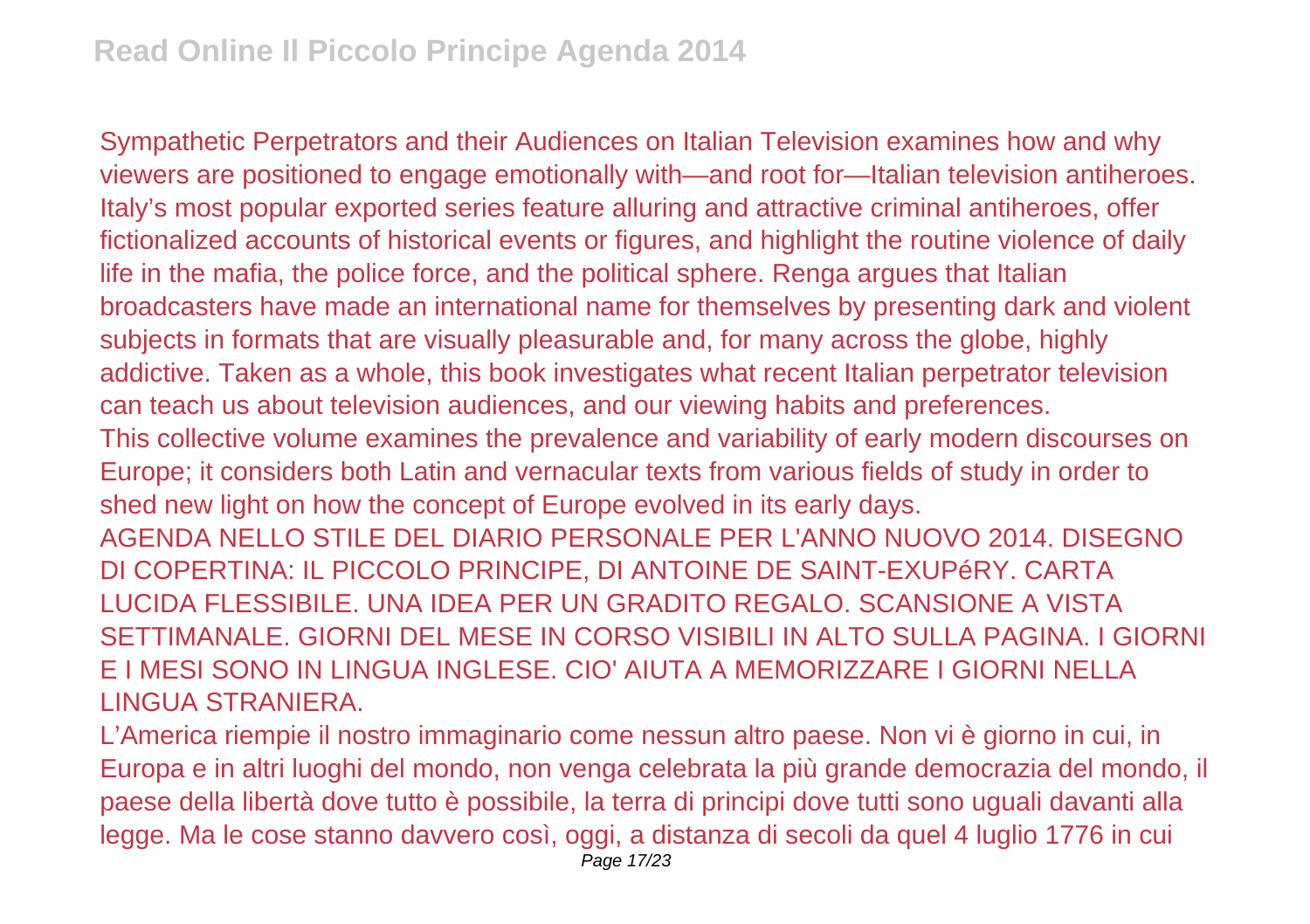Sympathetic Perpetrators and their Audiences on Italian Television examines how and why viewers are positioned to engage emotionally with—and root for—Italian television antiheroes. Italy's most popular exported series feature alluring and attractive criminal antiheroes, offer fictionalized accounts of historical events or figures, and highlight the routine violence of daily life in the mafia, the police force, and the political sphere. Renga argues that Italian broadcasters have made an international name for themselves by presenting dark and violent subjects in formats that are visually pleasurable and, for many across the globe, highly addictive. Taken as a whole, this book investigates what recent Italian perpetrator television can teach us about television audiences, and our viewing habits and preferences. This collective volume examines the prevalence and variability of early modern discourses on Europe; it considers both Latin and vernacular texts from various fields of study in order to shed new light on how the concept of Europe evolved in its early days. AGENDA NELLO STILE DEL DIARIO PERSONALE PER L'ANNO NUOVO 2014. DISEGNO DI COPERTINA: IL PICCOLO PRINCIPE, DI ANTOINE DE SAINT-EXUPéRY. CARTA LUCIDA FLESSIBILE. UNA IDEA PER UN GRADITO REGALO. SCANSIONE A VISTA SETTIMANALE. GIORNI DEL MESE IN CORSO VISIBILI IN ALTO SULLA PAGINA. I GIORNI E I MESI SONO IN LINGUA INGLESE. CIO' AIUTA A MEMORIZZARE I GIORNI NELLA LINGUA STRANIERA.

L'America riempie il nostro immaginario come nessun altro paese. Non vi è giorno in cui, in Europa e in altri luoghi del mondo, non venga celebrata la più grande democrazia del mondo, il paese della libertà dove tutto è possibile, la terra di principi dove tutti sono uguali davanti alla legge. Ma le cose stanno davvero così, oggi, a distanza di secoli da quel 4 luglio 1776 in cui Page 17/23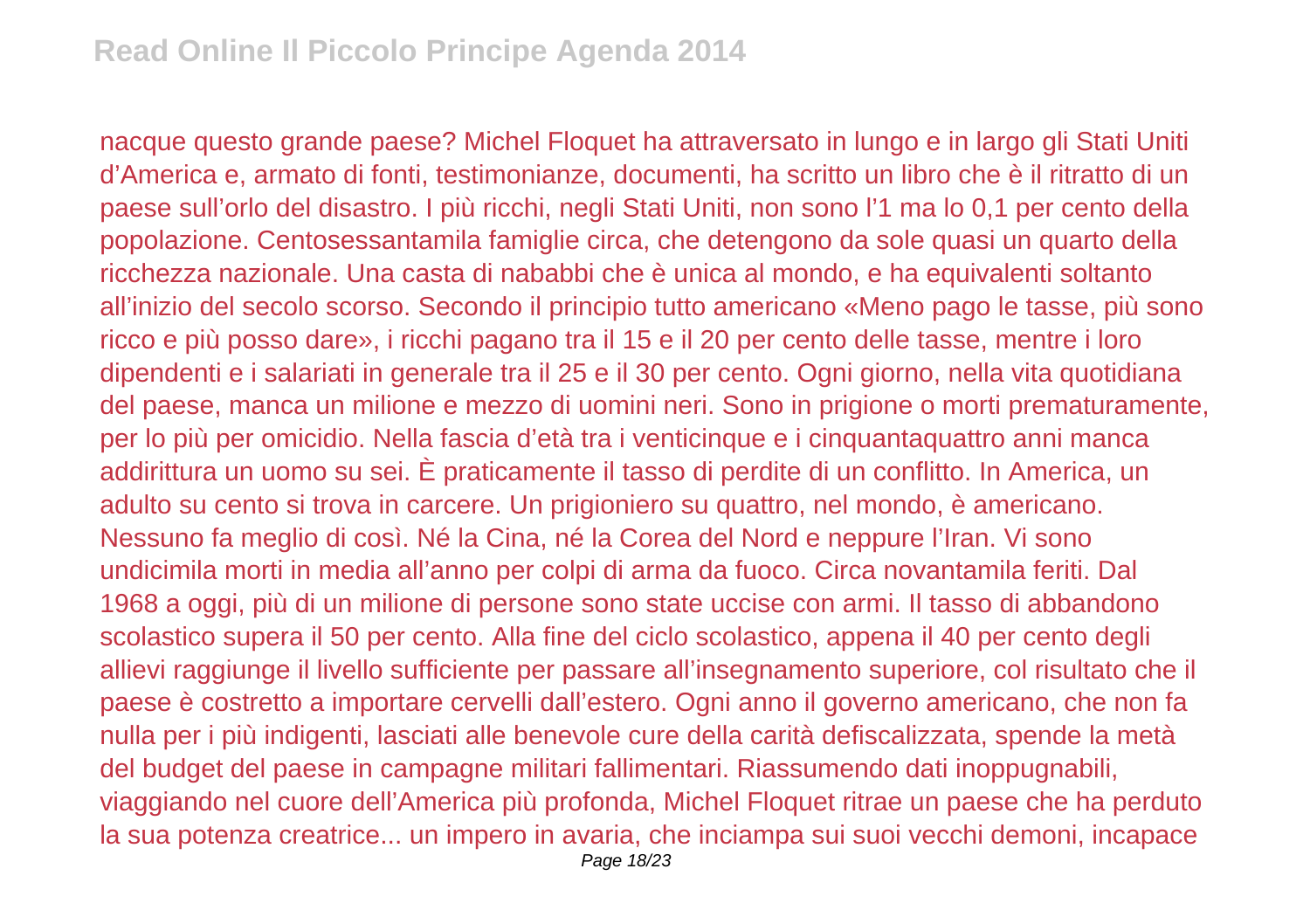nacque questo grande paese? Michel Floquet ha attraversato in lungo e in largo gli Stati Uniti d'America e, armato di fonti, testimonianze, documenti, ha scritto un libro che è il ritratto di un paese sull'orlo del disastro. I più ricchi, negli Stati Uniti, non sono l'1 ma lo 0,1 per cento della popolazione. Centosessantamila famiglie circa, che detengono da sole quasi un quarto della ricchezza nazionale. Una casta di nababbi che è unica al mondo, e ha equivalenti soltanto all'inizio del secolo scorso. Secondo il principio tutto americano «Meno pago le tasse, più sono ricco e più posso dare», i ricchi pagano tra il 15 e il 20 per cento delle tasse, mentre i loro dipendenti e i salariati in generale tra il 25 e il 30 per cento. Ogni giorno, nella vita quotidiana del paese, manca un milione e mezzo di uomini neri. Sono in prigione o morti prematuramente, per lo più per omicidio. Nella fascia d'età tra i venticinque e i cinquantaquattro anni manca addirittura un uomo su sei. È praticamente il tasso di perdite di un conflitto. In America, un adulto su cento si trova in carcere. Un prigioniero su quattro, nel mondo, è americano. Nessuno fa meglio di così. Né la Cina, né la Corea del Nord e neppure l'Iran. Vi sono undicimila morti in media all'anno per colpi di arma da fuoco. Circa novantamila feriti. Dal 1968 a oggi, più di un milione di persone sono state uccise con armi. Il tasso di abbandono scolastico supera il 50 per cento. Alla fine del ciclo scolastico, appena il 40 per cento degli allievi raggiunge il livello sufficiente per passare all'insegnamento superiore, col risultato che il paese è costretto a importare cervelli dall'estero. Ogni anno il governo americano, che non fa nulla per i più indigenti, lasciati alle benevole cure della carità defiscalizzata, spende la metà del budget del paese in campagne militari fallimentari. Riassumendo dati inoppugnabili, viaggiando nel cuore dell'America più profonda, Michel Floquet ritrae un paese che ha perduto la sua potenza creatrice... un impero in avaria, che inciampa sui suoi vecchi demoni, incapace Page 18/23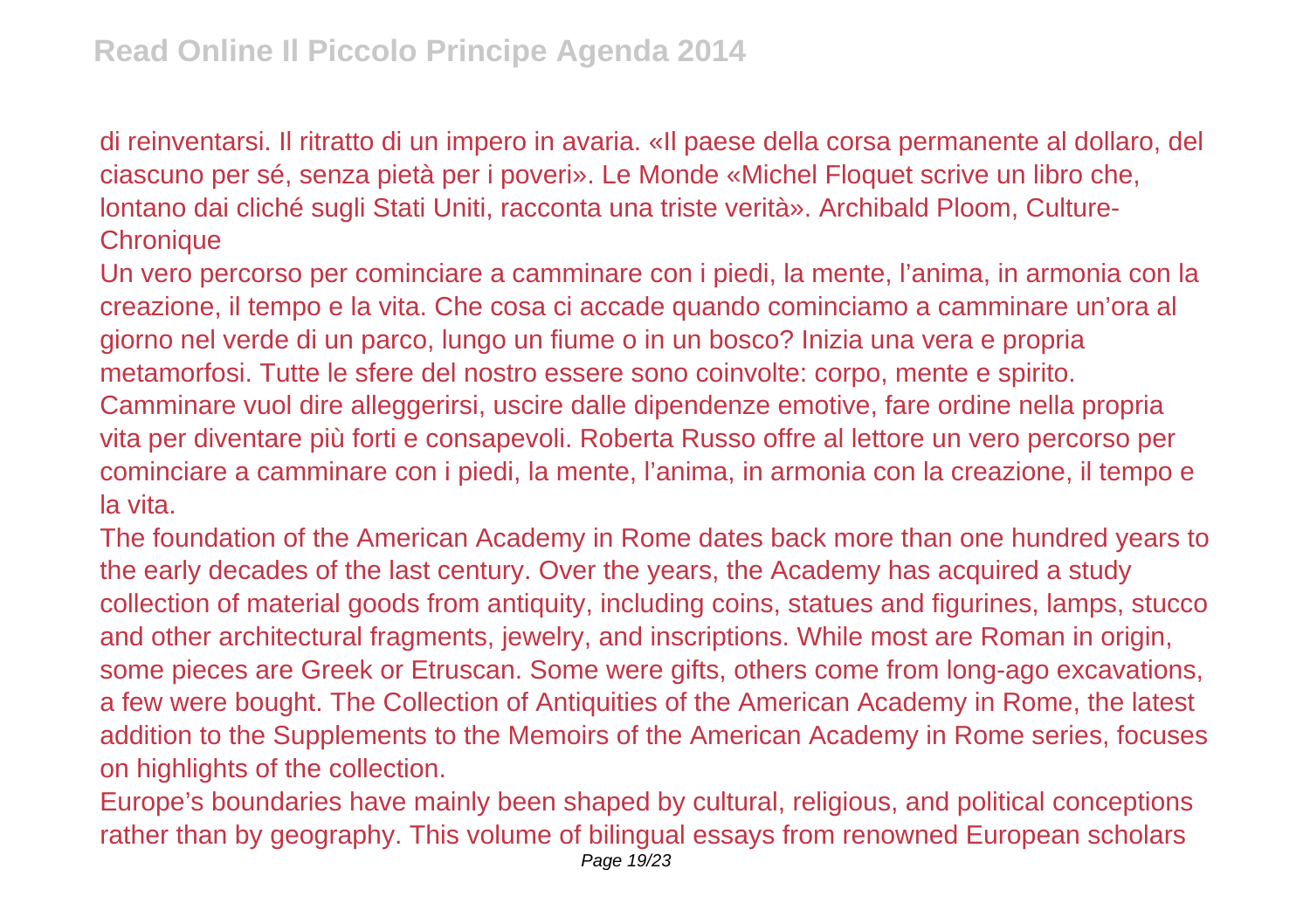di reinventarsi. Il ritratto di un impero in avaria. «Il paese della corsa permanente al dollaro, del ciascuno per sé, senza pietà per i poveri». Le Monde «Michel Floquet scrive un libro che, lontano dai cliché sugli Stati Uniti, racconta una triste verità». Archibald Ploom, Culture-**Chronique** 

Un vero percorso per cominciare a camminare con i piedi, la mente, l'anima, in armonia con la creazione, il tempo e la vita. Che cosa ci accade quando cominciamo a camminare un'ora al giorno nel verde di un parco, lungo un fiume o in un bosco? Inizia una vera e propria metamorfosi. Tutte le sfere del nostro essere sono coinvolte: corpo, mente e spirito. Camminare vuol dire alleggerirsi, uscire dalle dipendenze emotive, fare ordine nella propria vita per diventare più forti e consapevoli. Roberta Russo offre al lettore un vero percorso per cominciare a camminare con i piedi, la mente, l'anima, in armonia con la creazione, il tempo e la vita.

The foundation of the American Academy in Rome dates back more than one hundred years to the early decades of the last century. Over the years, the Academy has acquired a study collection of material goods from antiquity, including coins, statues and figurines, lamps, stucco and other architectural fragments, jewelry, and inscriptions. While most are Roman in origin, some pieces are Greek or Etruscan. Some were gifts, others come from long-ago excavations, a few were bought. The Collection of Antiquities of the American Academy in Rome, the latest addition to the Supplements to the Memoirs of the American Academy in Rome series, focuses on highlights of the collection.

Europe's boundaries have mainly been shaped by cultural, religious, and political conceptions rather than by geography. This volume of bilingual essays from renowned European scholars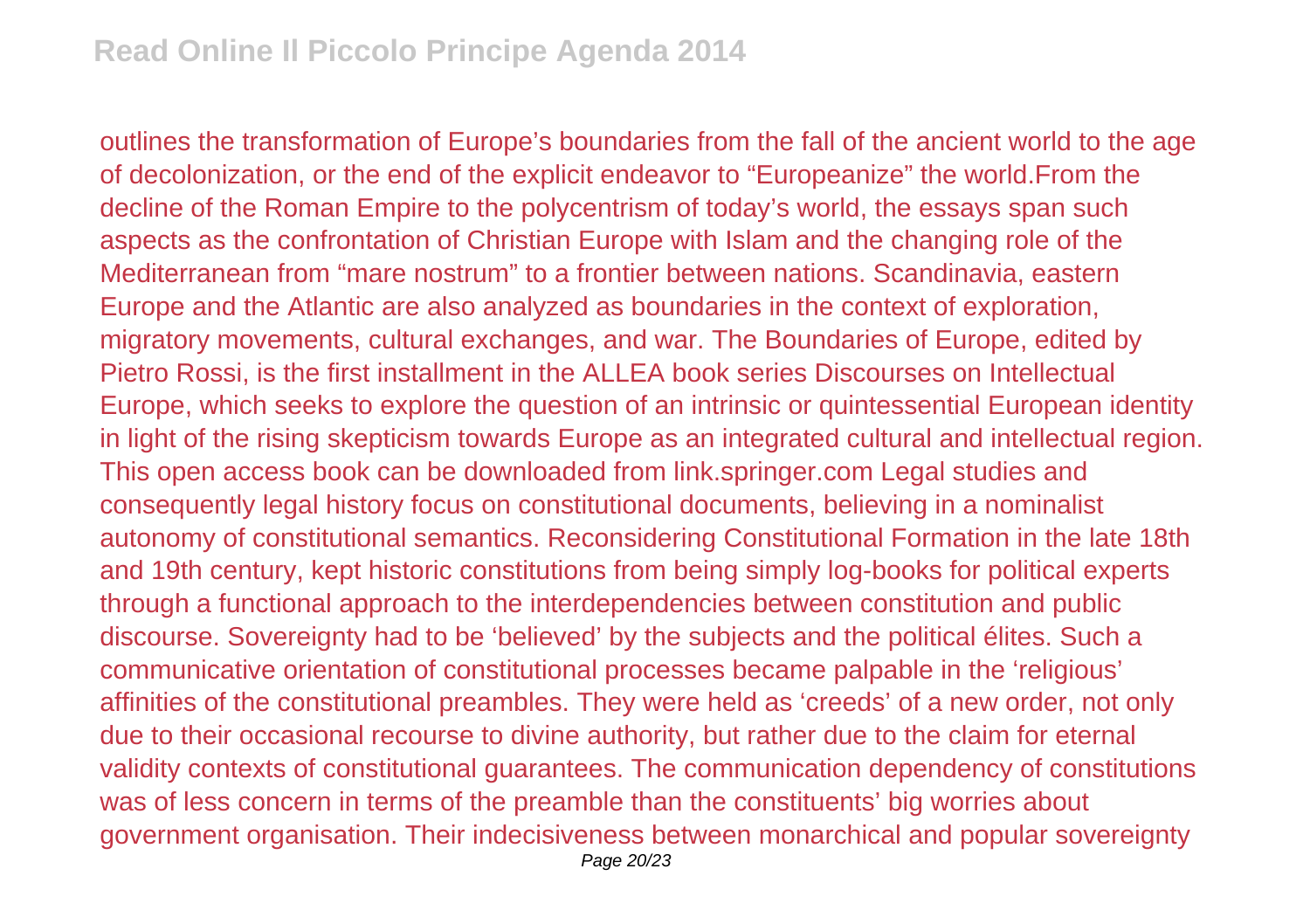outlines the transformation of Europe's boundaries from the fall of the ancient world to the age of decolonization, or the end of the explicit endeavor to "Europeanize" the world.From the decline of the Roman Empire to the polycentrism of today's world, the essays span such aspects as the confrontation of Christian Europe with Islam and the changing role of the Mediterranean from "mare nostrum" to a frontier between nations. Scandinavia, eastern Europe and the Atlantic are also analyzed as boundaries in the context of exploration, migratory movements, cultural exchanges, and war. The Boundaries of Europe, edited by Pietro Rossi, is the first installment in the ALLEA book series Discourses on Intellectual Europe, which seeks to explore the question of an intrinsic or quintessential European identity in light of the rising skepticism towards Europe as an integrated cultural and intellectual region. This open access book can be downloaded from link.springer.com Legal studies and consequently legal history focus on constitutional documents, believing in a nominalist autonomy of constitutional semantics. Reconsidering Constitutional Formation in the late 18th and 19th century, kept historic constitutions from being simply log-books for political experts through a functional approach to the interdependencies between constitution and public discourse. Sovereignty had to be 'believed' by the subjects and the political élites. Such a communicative orientation of constitutional processes became palpable in the 'religious' affinities of the constitutional preambles. They were held as 'creeds' of a new order, not only due to their occasional recourse to divine authority, but rather due to the claim for eternal validity contexts of constitutional guarantees. The communication dependency of constitutions was of less concern in terms of the preamble than the constituents' big worries about government organisation. Their indecisiveness between monarchical and popular sovereignty Page 20/23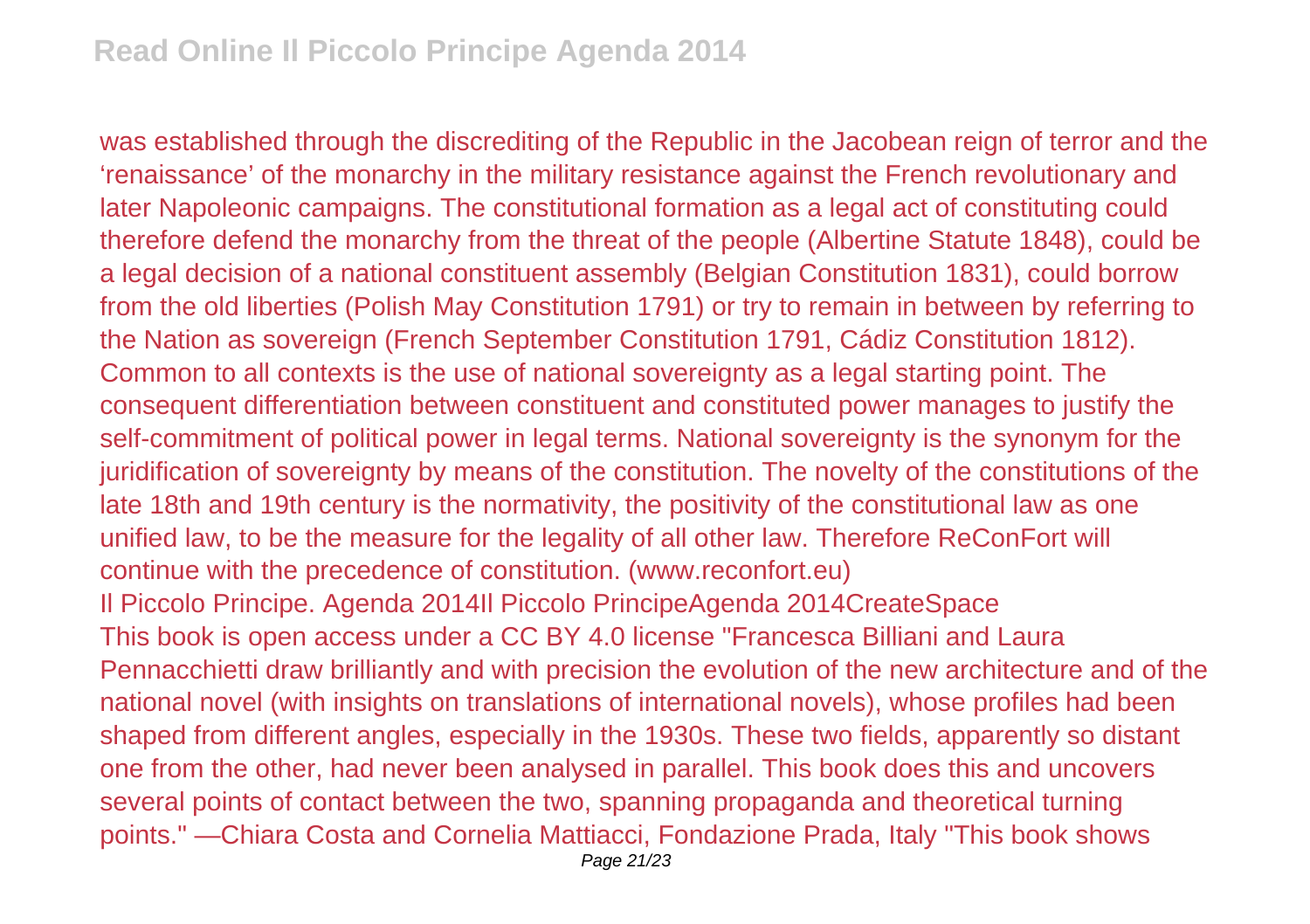was established through the discrediting of the Republic in the Jacobean reign of terror and the 'renaissance' of the monarchy in the military resistance against the French revolutionary and later Napoleonic campaigns. The constitutional formation as a legal act of constituting could therefore defend the monarchy from the threat of the people (Albertine Statute 1848), could be a legal decision of a national constituent assembly (Belgian Constitution 1831), could borrow from the old liberties (Polish May Constitution 1791) or try to remain in between by referring to the Nation as sovereign (French September Constitution 1791, Cádiz Constitution 1812). Common to all contexts is the use of national sovereignty as a legal starting point. The consequent differentiation between constituent and constituted power manages to justify the self-commitment of political power in legal terms. National sovereignty is the synonym for the juridification of sovereignty by means of the constitution. The novelty of the constitutions of the late 18th and 19th century is the normativity, the positivity of the constitutional law as one unified law, to be the measure for the legality of all other law. Therefore ReConFort will continue with the precedence of constitution. (www.reconfort.eu) Il Piccolo Principe. Agenda 2014Il Piccolo PrincipeAgenda 2014CreateSpace This book is open access under a CC BY 4.0 license "Francesca Billiani and Laura Pennacchietti draw brilliantly and with precision the evolution of the new architecture and of the national novel (with insights on translations of international novels), whose profiles had been shaped from different angles, especially in the 1930s. These two fields, apparently so distant one from the other, had never been analysed in parallel. This book does this and uncovers several points of contact between the two, spanning propaganda and theoretical turning points." —Chiara Costa and Cornelia Mattiacci, Fondazione Prada, Italy "This book shows Page 21/23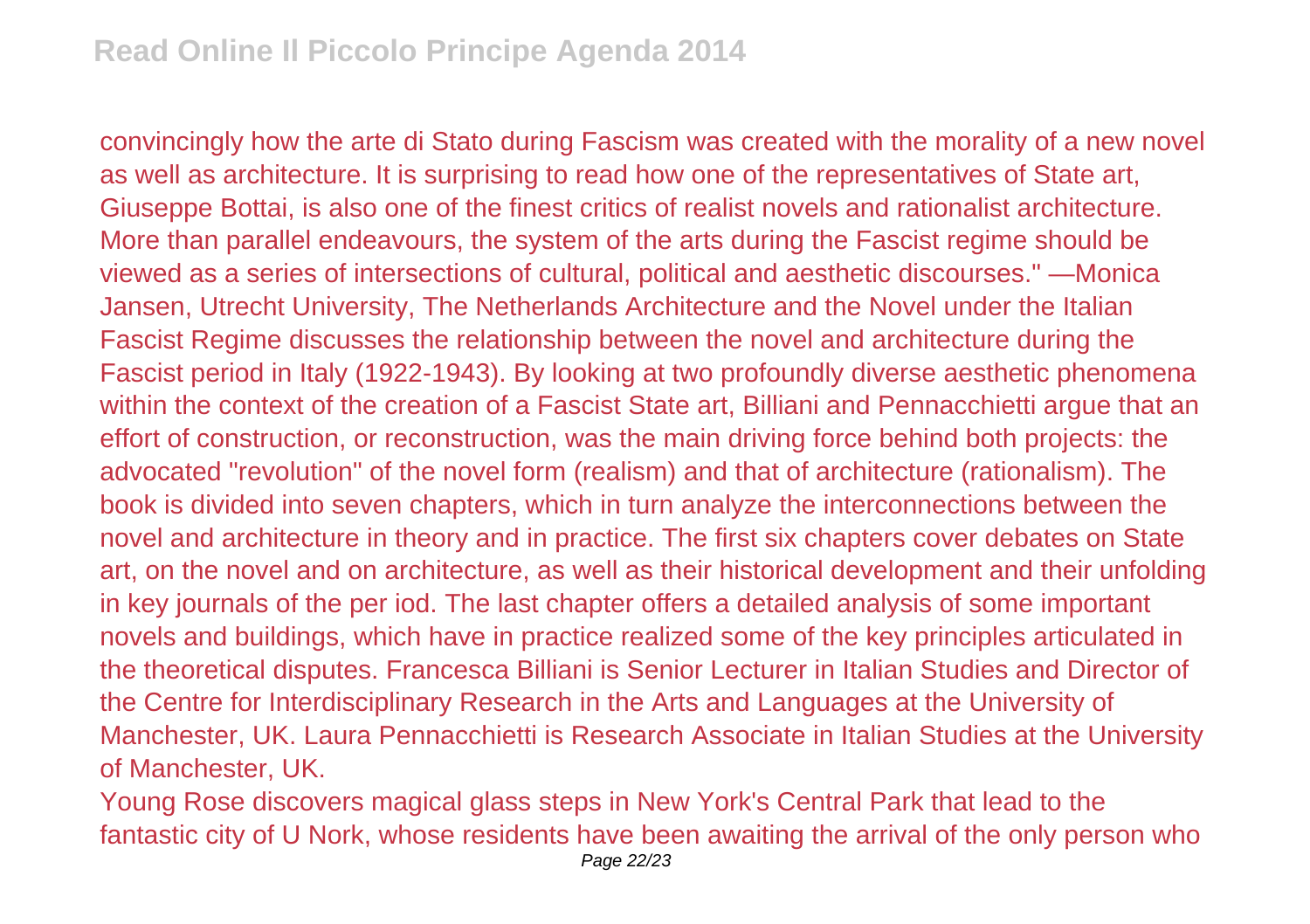convincingly how the arte di Stato during Fascism was created with the morality of a new novel as well as architecture. It is surprising to read how one of the representatives of State art, Giuseppe Bottai, is also one of the finest critics of realist novels and rationalist architecture. More than parallel endeavours, the system of the arts during the Fascist regime should be viewed as a series of intersections of cultural, political and aesthetic discourses." —Monica Jansen, Utrecht University, The Netherlands Architecture and the Novel under the Italian Fascist Regime discusses the relationship between the novel and architecture during the Fascist period in Italy (1922-1943). By looking at two profoundly diverse aesthetic phenomena within the context of the creation of a Fascist State art, Billiani and Pennacchietti argue that an effort of construction, or reconstruction, was the main driving force behind both projects: the advocated "revolution" of the novel form (realism) and that of architecture (rationalism). The book is divided into seven chapters, which in turn analyze the interconnections between the novel and architecture in theory and in practice. The first six chapters cover debates on State art, on the novel and on architecture, as well as their historical development and their unfolding in key journals of the per iod. The last chapter offers a detailed analysis of some important novels and buildings, which have in practice realized some of the key principles articulated in the theoretical disputes. Francesca Billiani is Senior Lecturer in Italian Studies and Director of the Centre for Interdisciplinary Research in the Arts and Languages at the University of Manchester, UK. Laura Pennacchietti is Research Associate in Italian Studies at the University of Manchester, UK.

Young Rose discovers magical glass steps in New York's Central Park that lead to the fantastic city of U Nork, whose residents have been awaiting the arrival of the only person who Page 22/23